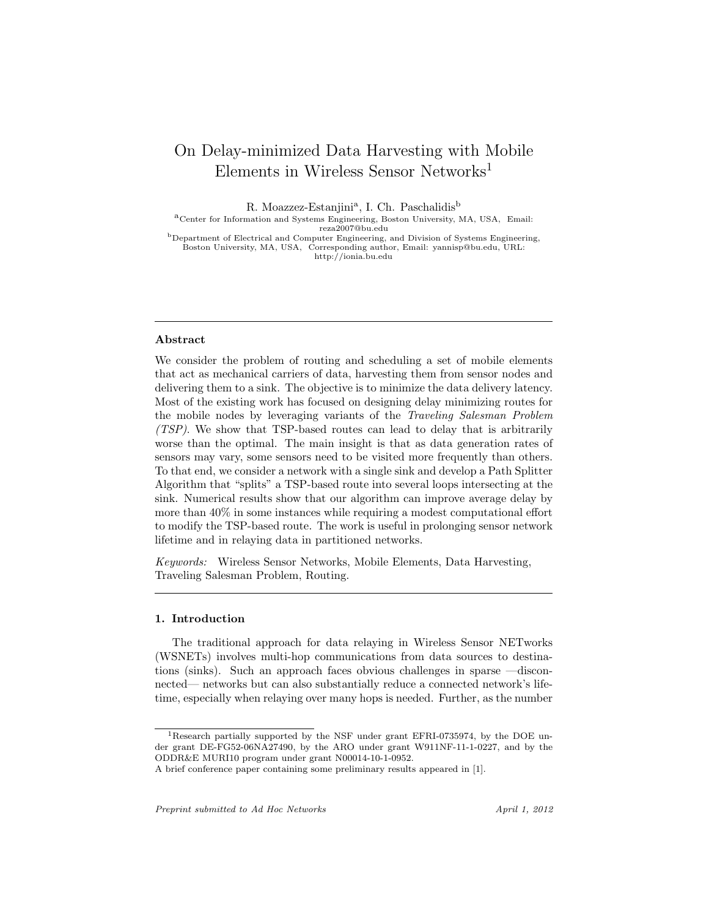# On Delay-minimized Data Harvesting with Mobile Elements in Wireless Sensor Networks<sup>1</sup>

R. Moazzez-Estanjini<sup>a</sup>, I. Ch. Paschalidis<sup>b</sup>

aCenter for Information and Systems Engineering, Boston University, MA, USA, Email: reza2007@bu.edu

<sup>b</sup>Department of Electrical and Computer Engineering, and Division of Systems Engineering, Boston University, MA, USA, Corresponding author, Email: yannisp@bu.edu, URL: http://ionia.bu.edu

#### Abstract

We consider the problem of routing and scheduling a set of mobile elements that act as mechanical carriers of data, harvesting them from sensor nodes and delivering them to a sink. The objective is to minimize the data delivery latency. Most of the existing work has focused on designing delay minimizing routes for the mobile nodes by leveraging variants of the Traveling Salesman Problem (TSP). We show that TSP-based routes can lead to delay that is arbitrarily worse than the optimal. The main insight is that as data generation rates of sensors may vary, some sensors need to be visited more frequently than others. To that end, we consider a network with a single sink and develop a Path Splitter Algorithm that "splits" a TSP-based route into several loops intersecting at the sink. Numerical results show that our algorithm can improve average delay by more than 40% in some instances while requiring a modest computational effort to modify the TSP-based route. The work is useful in prolonging sensor network lifetime and in relaying data in partitioned networks.

Keywords: Wireless Sensor Networks, Mobile Elements, Data Harvesting, Traveling Salesman Problem, Routing.

## 1. Introduction

The traditional approach for data relaying in Wireless Sensor NETworks (WSNETs) involves multi-hop communications from data sources to destinations (sinks). Such an approach faces obvious challenges in sparse —disconnected— networks but can also substantially reduce a connected network's lifetime, especially when relaying over many hops is needed. Further, as the number

<sup>1</sup>Research partially supported by the NSF under grant EFRI-0735974, by the DOE under grant DE-FG52-06NA27490, by the ARO under grant W911NF-11-1-0227, and by the ODDR&E MURI10 program under grant N00014-10-1-0952.

A brief conference paper containing some preliminary results appeared in [1].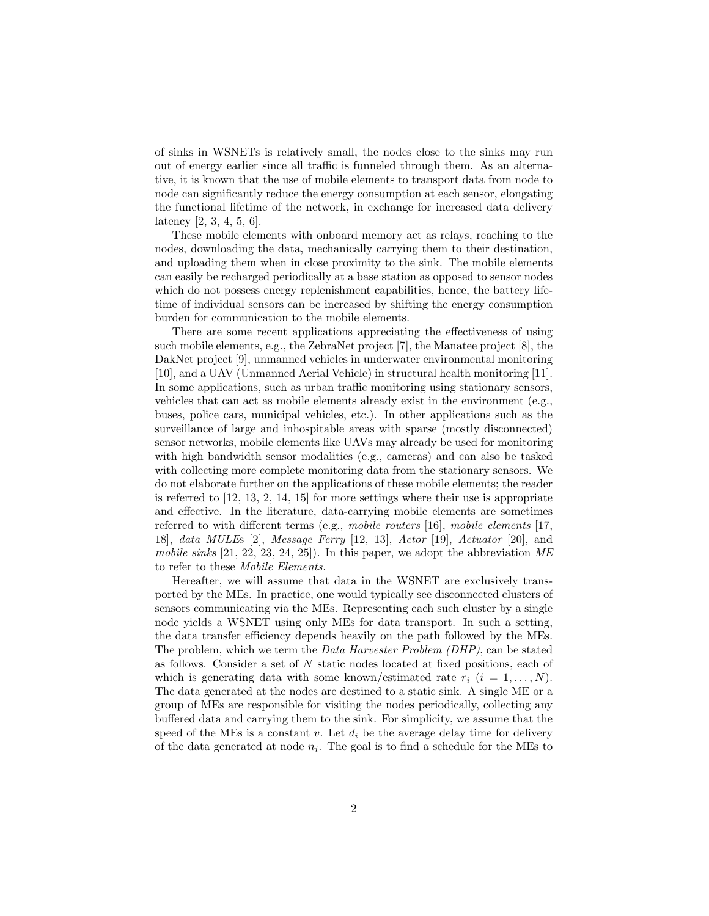of sinks in WSNETs is relatively small, the nodes close to the sinks may run out of energy earlier since all traffic is funneled through them. As an alternative, it is known that the use of mobile elements to transport data from node to node can significantly reduce the energy consumption at each sensor, elongating the functional lifetime of the network, in exchange for increased data delivery latency [2, 3, 4, 5, 6].

These mobile elements with onboard memory act as relays, reaching to the nodes, downloading the data, mechanically carrying them to their destination, and uploading them when in close proximity to the sink. The mobile elements can easily be recharged periodically at a base station as opposed to sensor nodes which do not possess energy replenishment capabilities, hence, the battery lifetime of individual sensors can be increased by shifting the energy consumption burden for communication to the mobile elements.

There are some recent applications appreciating the effectiveness of using such mobile elements, e.g., the ZebraNet project [7], the Manatee project [8], the DakNet project [9], unmanned vehicles in underwater environmental monitoring [10], and a UAV (Unmanned Aerial Vehicle) in structural health monitoring [11]. In some applications, such as urban traffic monitoring using stationary sensors, vehicles that can act as mobile elements already exist in the environment (e.g., buses, police cars, municipal vehicles, etc.). In other applications such as the surveillance of large and inhospitable areas with sparse (mostly disconnected) sensor networks, mobile elements like UAVs may already be used for monitoring with high bandwidth sensor modalities (e.g., cameras) and can also be tasked with collecting more complete monitoring data from the stationary sensors. We do not elaborate further on the applications of these mobile elements; the reader is referred to [12, 13, 2, 14, 15] for more settings where their use is appropriate and effective. In the literature, data-carrying mobile elements are sometimes referred to with different terms (e.g., mobile routers [16], mobile elements [17, 18], data MULEs [2], Message Ferry [12, 13], Actor [19], Actuator [20], and mobile sinks  $[21, 22, 23, 24, 25]$ . In this paper, we adopt the abbreviation ME to refer to these Mobile Elements.

Hereafter, we will assume that data in the WSNET are exclusively transported by the MEs. In practice, one would typically see disconnected clusters of sensors communicating via the MEs. Representing each such cluster by a single node yields a WSNET using only MEs for data transport. In such a setting, the data transfer efficiency depends heavily on the path followed by the MEs. The problem, which we term the Data Harvester Problem (DHP), can be stated as follows. Consider a set of N static nodes located at fixed positions, each of which is generating data with some known/estimated rate  $r_i$   $(i = 1, \ldots, N)$ . The data generated at the nodes are destined to a static sink. A single ME or a group of MEs are responsible for visiting the nodes periodically, collecting any buffered data and carrying them to the sink. For simplicity, we assume that the speed of the MEs is a constant v. Let  $d_i$  be the average delay time for delivery of the data generated at node  $n_i$ . The goal is to find a schedule for the MEs to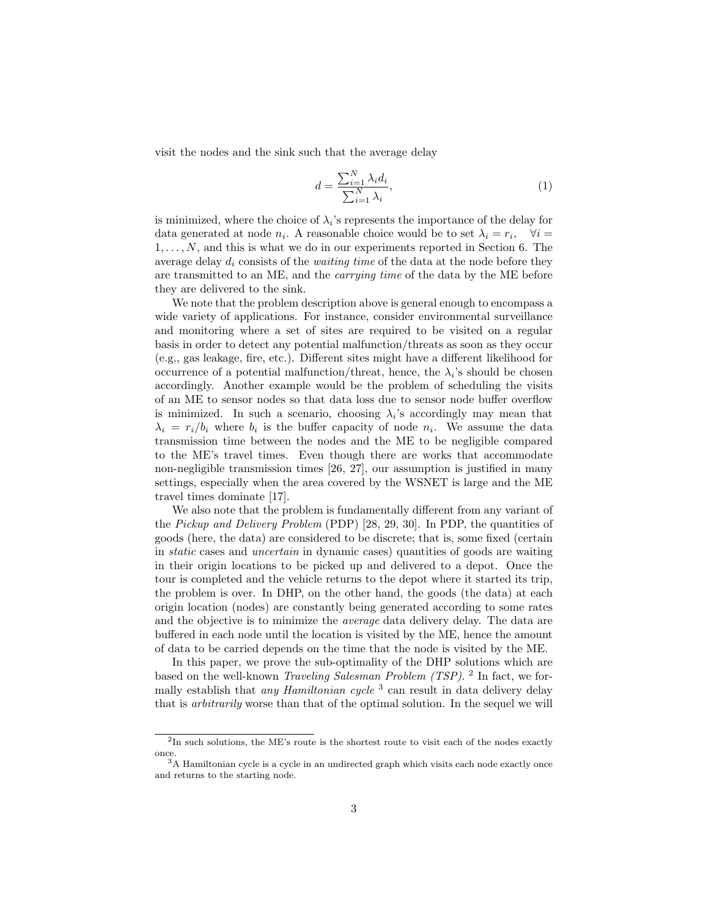visit the nodes and the sink such that the average delay

$$
d = \frac{\sum_{i=1}^{N} \lambda_i d_i}{\sum_{i=1}^{N} \lambda_i},\tag{1}
$$

is minimized, where the choice of  $\lambda_i$ 's represents the importance of the delay for data generated at node  $n_i$ . A reasonable choice would be to set  $\lambda_i = r_i$ ,  $\forall i =$  $1, \ldots, N$ , and this is what we do in our experiments reported in Section 6. The average delay  $d_i$  consists of the *waiting time* of the data at the node before they are transmitted to an ME, and the carrying time of the data by the ME before they are delivered to the sink.

We note that the problem description above is general enough to encompass a wide variety of applications. For instance, consider environmental surveillance and monitoring where a set of sites are required to be visited on a regular basis in order to detect any potential malfunction/threats as soon as they occur (e.g., gas leakage, fire, etc.). Different sites might have a different likelihood for occurrence of a potential malfunction/threat, hence, the  $\lambda_i$ 's should be chosen accordingly. Another example would be the problem of scheduling the visits of an ME to sensor nodes so that data loss due to sensor node buffer overflow is minimized. In such a scenario, choosing  $\lambda_i$ 's accordingly may mean that  $\lambda_i = r_i/b_i$  where  $b_i$  is the buffer capacity of node  $n_i$ . We assume the data transmission time between the nodes and the ME to be negligible compared to the ME's travel times. Even though there are works that accommodate non-negligible transmission times [26, 27], our assumption is justified in many settings, especially when the area covered by the WSNET is large and the ME travel times dominate [17].

We also note that the problem is fundamentally different from any variant of the Pickup and Delivery Problem (PDP) [28, 29, 30]. In PDP, the quantities of goods (here, the data) are considered to be discrete; that is, some fixed (certain in static cases and uncertain in dynamic cases) quantities of goods are waiting in their origin locations to be picked up and delivered to a depot. Once the tour is completed and the vehicle returns to the depot where it started its trip, the problem is over. In DHP, on the other hand, the goods (the data) at each origin location (nodes) are constantly being generated according to some rates and the objective is to minimize the average data delivery delay. The data are buffered in each node until the location is visited by the ME, hence the amount of data to be carried depends on the time that the node is visited by the ME.

In this paper, we prove the sub-optimality of the DHP solutions which are based on the well-known *Traveling Salesman Problem (TSP)*. <sup>2</sup> In fact, we formally establish that *any Hamiltonian cycle*<sup>3</sup> can result in data delivery delay that is arbitrarily worse than that of the optimal solution. In the sequel we will

<sup>&</sup>lt;sup>2</sup>In such solutions, the ME's route is the shortest route to visit each of the nodes exactly once.

 $3A$  Hamiltonian cycle is a cycle in an undirected graph which visits each node exactly once and returns to the starting node.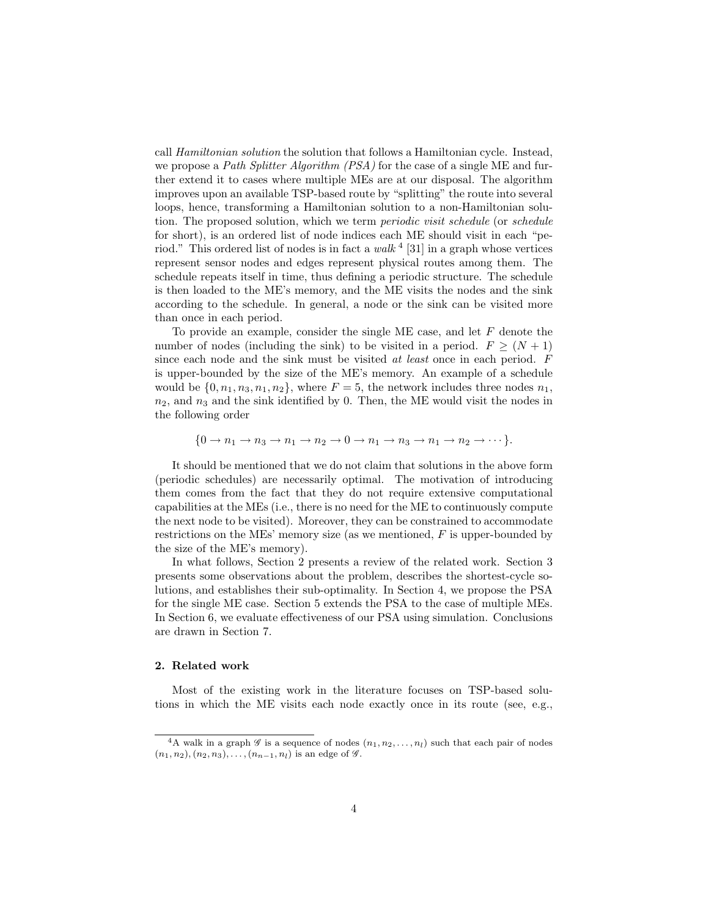call Hamiltonian solution the solution that follows a Hamiltonian cycle. Instead, we propose a Path Splitter Algorithm (PSA) for the case of a single ME and further extend it to cases where multiple MEs are at our disposal. The algorithm improves upon an available TSP-based route by "splitting" the route into several loops, hence, transforming a Hamiltonian solution to a non-Hamiltonian solution. The proposed solution, which we term periodic visit schedule (or schedule for short), is an ordered list of node indices each ME should visit in each "period." This ordered list of nodes is in fact a walk  $4$  [31] in a graph whose vertices represent sensor nodes and edges represent physical routes among them. The schedule repeats itself in time, thus defining a periodic structure. The schedule is then loaded to the ME's memory, and the ME visits the nodes and the sink according to the schedule. In general, a node or the sink can be visited more than once in each period.

To provide an example, consider the single ME case, and let F denote the number of nodes (including the sink) to be visited in a period.  $F \geq (N+1)$ since each node and the sink must be visited at least once in each period. F is upper-bounded by the size of the ME's memory. An example of a schedule would be  $\{0, n_1, n_3, n_1, n_2\}$ , where  $F = 5$ , the network includes three nodes  $n_1$ ,  $n_2$ , and  $n_3$  and the sink identified by 0. Then, the ME would visit the nodes in the following order

$$
\{0 \to n_1 \to n_3 \to n_1 \to n_2 \to 0 \to n_1 \to n_3 \to n_1 \to n_2 \to \cdots\}.
$$

It should be mentioned that we do not claim that solutions in the above form (periodic schedules) are necessarily optimal. The motivation of introducing them comes from the fact that they do not require extensive computational capabilities at the MEs (i.e., there is no need for the ME to continuously compute the next node to be visited). Moreover, they can be constrained to accommodate restrictions on the MEs' memory size (as we mentioned,  $F$  is upper-bounded by the size of the ME's memory).

In what follows, Section 2 presents a review of the related work. Section 3 presents some observations about the problem, describes the shortest-cycle solutions, and establishes their sub-optimality. In Section 4, we propose the PSA for the single ME case. Section 5 extends the PSA to the case of multiple MEs. In Section 6, we evaluate effectiveness of our PSA using simulation. Conclusions are drawn in Section 7.

#### 2. Related work

Most of the existing work in the literature focuses on TSP-based solutions in which the ME visits each node exactly once in its route (see, e.g.,

<sup>&</sup>lt;sup>4</sup>A walk in a graph  $\mathscr G$  is a sequence of nodes  $(n_1, n_2, \ldots, n_l)$  such that each pair of nodes  $(n_1, n_2), (n_2, n_3), \ldots, (n_{n-1}, n_l)$  is an edge of  $\mathscr{G}$ .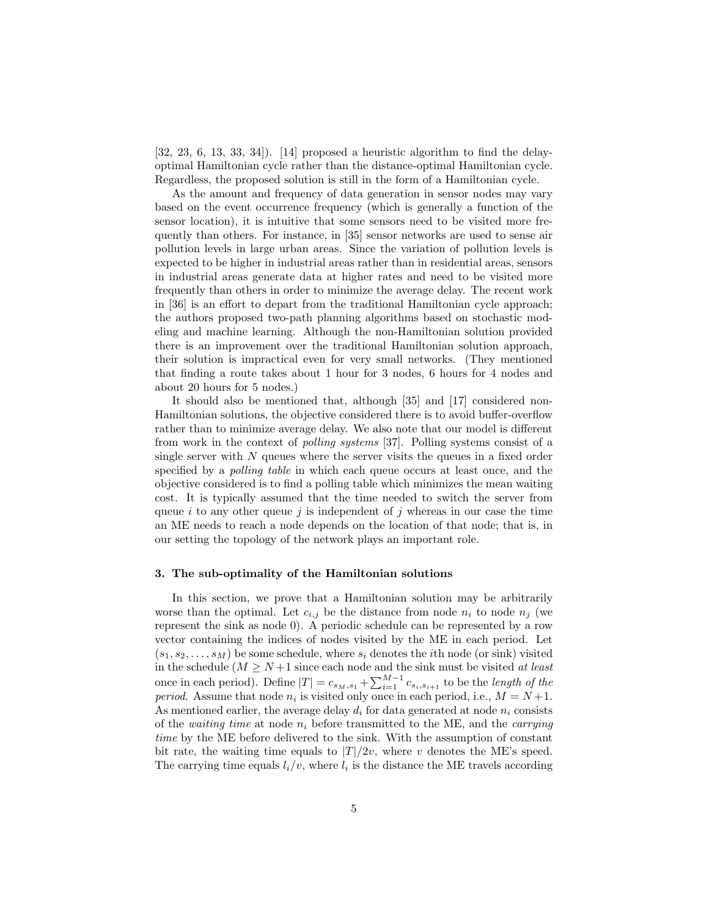$[32, 23, 6, 13, 33, 34]$ .  $[14]$  proposed a heuristic algorithm to find the delayoptimal Hamiltonian cycle rather than the distance-optimal Hamiltonian cycle. Regardless, the proposed solution is still in the form of a Hamiltonian cycle.

As the amount and frequency of data generation in sensor nodes may vary based on the event occurrence frequency (which is generally a function of the sensor location), it is intuitive that some sensors need to be visited more frequently than others. For instance, in [35] sensor networks are used to sense air pollution levels in large urban areas. Since the variation of pollution levels is expected to be higher in industrial areas rather than in residential areas, sensors in industrial areas generate data at higher rates and need to be visited more frequently than others in order to minimize the average delay. The recent work in [36] is an effort to depart from the traditional Hamiltonian cycle approach; the authors proposed two-path planning algorithms based on stochastic modeling and machine learning. Although the non-Hamiltonian solution provided there is an improvement over the traditional Hamiltonian solution approach, their solution is impractical even for very small networks. (They mentioned that finding a route takes about 1 hour for 3 nodes, 6 hours for 4 nodes and about 20 hours for 5 nodes.)

It should also be mentioned that, although [35] and [17] considered non-Hamiltonian solutions, the objective considered there is to avoid buffer-overflow rather than to minimize average delay. We also note that our model is different from work in the context of polling systems [37]. Polling systems consist of a single server with  $N$  queues where the server visits the queues in a fixed order specified by a *polling table* in which each queue occurs at least once, and the objective considered is to find a polling table which minimizes the mean waiting cost. It is typically assumed that the time needed to switch the server from queue i to any other queue j is independent of j whereas in our case the time an ME needs to reach a node depends on the location of that node; that is, in our setting the topology of the network plays an important role.

#### 3. The sub-optimality of the Hamiltonian solutions

In this section, we prove that a Hamiltonian solution may be arbitrarily worse than the optimal. Let  $c_{i,j}$  be the distance from node  $n_i$  to node  $n_j$  (we represent the sink as node 0). A periodic schedule can be represented by a row vector containing the indices of nodes visited by the ME in each period. Let  $(s_1, s_2, \ldots, s_M)$  be some schedule, where  $s_i$  denotes the *i*th node (or sink) visited in the schedule  $(M \geq N+1$  since each node and the sink must be visited at least once in each period). Define  $|T| = c_{s_M,s_1} + \sum_{i=1}^{M-1} c_{s_i,s_{i+1}}$  to be the *length of the period.* Assume that node  $n_i$  is visited only once in each period, i.e.,  $M = N + 1$ . As mentioned earlier, the average delay  $d_i$  for data generated at node  $n_i$  consists of the waiting time at node  $n_i$  before transmitted to the ME, and the *carrying* time by the ME before delivered to the sink. With the assumption of constant bit rate, the waiting time equals to  $|T|/2v$ , where v denotes the ME's speed. The carrying time equals  $l_i/v$ , where  $l_i$  is the distance the ME travels according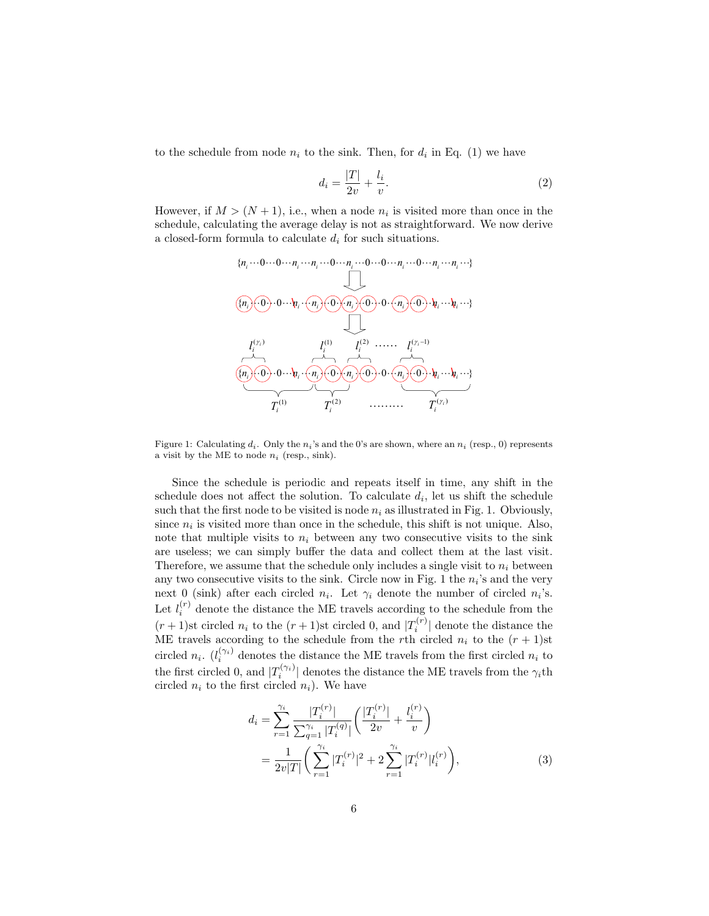to the schedule from node  $n_i$  to the sink. Then, for  $d_i$  in Eq. (1) we have

$$
d_i = \frac{|T|}{2v} + \frac{l_i}{v}.\tag{2}
$$

However, if  $M > (N + 1)$ , i.e., when a node  $n_i$  is visited more than once in the schedule, calculating the average delay is not as straightforward. We now derive a closed-form formula to calculate  $d_i$  for such situations.



Figure 1: Calculating  $d_i$ . Only the  $n_i$ 's and the 0's are shown, where an  $n_i$  (resp., 0) represents a visit by the ME to node  $n_i$  (resp., sink).

Since the schedule is periodic and repeats itself in time, any shift in the schedule does not affect the solution. To calculate  $d_i$ , let us shift the schedule such that the first node to be visited is node  $n_i$  as illustrated in Fig. 1. Obviously, since  $n_i$  is visited more than once in the schedule, this shift is not unique. Also, note that multiple visits to  $n_i$  between any two consecutive visits to the sink are useless; we can simply buffer the data and collect them at the last visit. Therefore, we assume that the schedule only includes a single visit to  $n_i$  between any two consecutive visits to the sink. Circle now in Fig. 1 the  $n_i$ 's and the very next 0 (sink) after each circled  $n_i$ . Let  $\gamma_i$  denote the number of circled  $n_i$ 's. Let  $l_i^{(r)}$  denote the distance the ME travels according to the schedule from the  $(r+1)$ st circled  $n_i$  to the  $(r+1)$ st circled 0, and  $|T_i^{(r)}|$  denote the distance the ME travels according to the schedule from the rth circled  $n_i$  to the  $(r + 1)$ st circled  $n_i$ .  $(l_i^{(\gamma_i)}$  denotes the distance the ME travels from the first circled  $n_i$  to the first circled 0, and  $|T_i^{(\gamma_i)}|$  denotes the distance the ME travels from the  $\gamma_i$ th circled  $n_i$  to the first circled  $n_i$ ). We have

$$
d_{i} = \sum_{r=1}^{\gamma_{i}} \frac{|T_{i}^{(r)}|}{\sum_{q=1}^{\gamma_{i}} |T_{i}^{(q)}|} \left(\frac{|T_{i}^{(r)}|}{2v} + \frac{l_{i}^{(r)}}{v}\right)
$$
  

$$
= \frac{1}{2v|T|} \left(\sum_{r=1}^{\gamma_{i}} |T_{i}^{(r)}|^{2} + 2 \sum_{r=1}^{\gamma_{i}} |T_{i}^{(r)}|l_{i}^{(r)}\right), \tag{3}
$$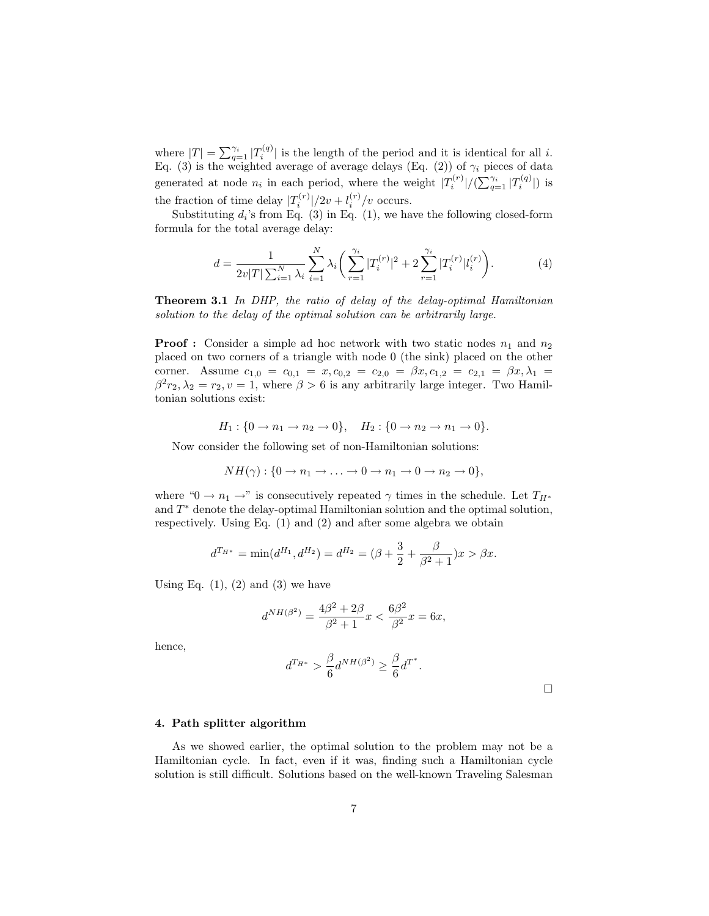where  $|T| = \sum_{q=1}^{\gamma_i} |T_i^{(q)}|$  is the length of the period and it is identical for all i. Eq. (3) is the weighted average of average delays (Eq. (2)) of  $\gamma_i$  pieces of data generated at node  $n_i$  in each period, where the weight  $|T_i^{(r)}|/(\sum_{q=1}^{\gamma_i} |T_i^{(q)}|)$  is the fraction of time delay  $|T_i^{(r)}|/2v + l_i^{(r)}/v$  occurs.

Substituting  $d_i$ 's from Eq. (3) in Eq. (1), we have the following closed-form formula for the total average delay:

$$
d = \frac{1}{2v|T|\sum_{i=1}^{N}\lambda_i} \sum_{i=1}^{N} \lambda_i \left( \sum_{r=1}^{\gamma_i} |T_i^{(r)}|^2 + 2 \sum_{r=1}^{\gamma_i} |T_i^{(r)}| l_i^{(r)} \right). \tag{4}
$$

Theorem 3.1 In DHP, the ratio of delay of the delay-optimal Hamiltonian solution to the delay of the optimal solution can be arbitrarily large.

**Proof :** Consider a simple ad hoc network with two static nodes  $n_1$  and  $n_2$ placed on two corners of a triangle with node 0 (the sink) placed on the other corner. Assume  $c_{1,0} = c_{0,1} = x, c_{0,2} = c_{2,0} = \beta x, c_{1,2} = c_{2,1} = \beta x, \lambda_1 =$  $\beta^2 r_2, \lambda_2 = r_2, v = 1$ , where  $\beta > 6$  is any arbitrarily large integer. Two Hamiltonian solutions exist:

$$
H_1: \{0 \to n_1 \to n_2 \to 0\}, \quad H_2: \{0 \to n_2 \to n_1 \to 0\}.
$$

Now consider the following set of non-Hamiltonian solutions:

$$
NH(\gamma): \{0 \to n_1 \to \ldots \to 0 \to n_1 \to 0 \to n_2 \to 0\},\
$$

where " $0 \to n_1 \to$ " is consecutively repeated  $\gamma$  times in the schedule. Let  $T_{H^*}$ and  $T^*$  denote the delay-optimal Hamiltonian solution and the optimal solution, respectively. Using Eq. (1) and (2) and after some algebra we obtain

$$
d^{T_{H^*}} = \min(d^{H_1}, d^{H_2}) = d^{H_2} = (\beta + \frac{3}{2} + \frac{\beta}{\beta^2 + 1})x > \beta x.
$$

Using Eq.  $(1)$ ,  $(2)$  and  $(3)$  we have

$$
d^{NH(\beta^2)} = \frac{4\beta^2 + 2\beta}{\beta^2 + 1}x < \frac{6\beta^2}{\beta^2}x = 6x,
$$

hence,

$$
d^{T_{H^*}} > \frac{\beta}{6} d^{NH(\beta^2)} \ge \frac{\beta}{6} d^{T^*}.
$$

 $\Box$ 

#### 4. Path splitter algorithm

As we showed earlier, the optimal solution to the problem may not be a Hamiltonian cycle. In fact, even if it was, finding such a Hamiltonian cycle solution is still difficult. Solutions based on the well-known Traveling Salesman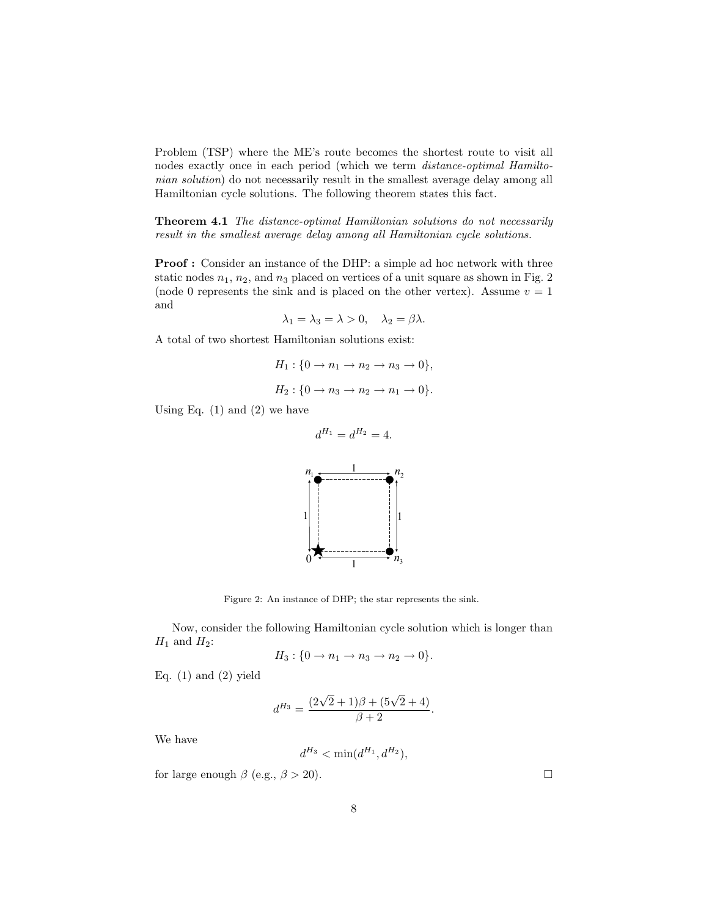Problem (TSP) where the ME's route becomes the shortest route to visit all nodes exactly once in each period (which we term distance-optimal Hamiltonian solution) do not necessarily result in the smallest average delay among all Hamiltonian cycle solutions. The following theorem states this fact.

Theorem 4.1 The distance-optimal Hamiltonian solutions do not necessarily result in the smallest average delay among all Hamiltonian cycle solutions.

Proof : Consider an instance of the DHP: a simple ad hoc network with three static nodes  $n_1$ ,  $n_2$ , and  $n_3$  placed on vertices of a unit square as shown in Fig. 2 (node 0 represents the sink and is placed on the other vertex). Assume  $v = 1$ and

$$
\lambda_1 = \lambda_3 = \lambda > 0, \quad \lambda_2 = \beta \lambda.
$$

A total of two shortest Hamiltonian solutions exist:

$$
H_1: \{0 \to n_1 \to n_2 \to n_3 \to 0\},\
$$
  

$$
H_2: \{0 \to n_3 \to n_2 \to n_1 \to 0\}.
$$

 $d^{H_1} = d^{H_2} = 4.$ 

Using Eq.  $(1)$  and  $(2)$  we have



Figure 2: An instance of DHP; the star represents the sink.

Now, consider the following Hamiltonian cycle solution which is longer than  $H_1$  and  $H_2$ :

$$
H_3: \{0 \to n_1 \to n_3 \to n_2 \to 0\}.
$$

Eq.  $(1)$  and  $(2)$  yield

$$
d^{H_3} = \frac{(2\sqrt{2}+1)\beta + (5\sqrt{2}+4)}{\beta+2}.
$$

We have

$$
d^{H_3} < \min(d^{H_1}, d^{H_2}),
$$

for large enough  $\beta$  (e.g.,  $\beta > 20$ ).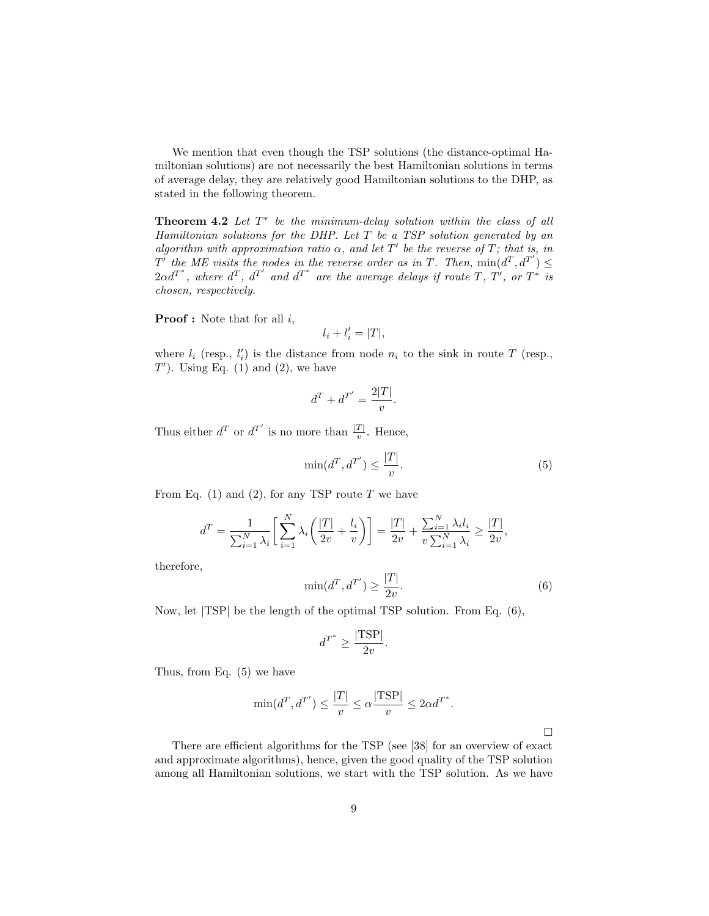We mention that even though the TSP solutions (the distance-optimal Hamiltonian solutions) are not necessarily the best Hamiltonian solutions in terms of average delay, they are relatively good Hamiltonian solutions to the DHP, as stated in the following theorem.

**Theorem 4.2** Let  $T^*$  be the minimum-delay solution within the class of all Hamiltonian solutions for the DHP. Let  $T$  be a TSP solution generated by an algorithm with approximation ratio  $\alpha$ , and let T' be the reverse of T; that is, in  $T'$  the ME visits the nodes in the reverse order as in T. Then,  $\min(d^T, d^{T'}) \leq$  $2\alpha d^{T^*}$ , where  $d^T$ ,  $d^{T'}$  and  $d^{T^*}$  are the average delays if route  $T$ ,  $T'$ , or  $T^*$  is chosen, respectively.

**Proof**: Note that for all  $i$ ,

$$
l_i + l'_i = |T|,
$$

where  $l_i$  (resp.,  $l'_i$ ) is the distance from node  $n_i$  to the sink in route T (resp.,  $T'$ ). Using Eq. (1) and (2), we have

$$
d^T + d^{T'} = \frac{2|T|}{v}.
$$

Thus either  $d^T$  or  $d^{T'}$  is no more than  $\frac{|T|}{v}$ . Hence,

$$
\min(d^T, d^{T'}) \le \frac{|T|}{v}.\tag{5}
$$

From Eq.  $(1)$  and  $(2)$ , for any TSP route T we have

$$
d^T = \frac{1}{\sum_{i=1}^N \lambda_i} \left[ \sum_{i=1}^N \lambda_i \left( \frac{|T|}{2v} + \frac{l_i}{v} \right) \right] = \frac{|T|}{2v} + \frac{\sum_{i=1}^N \lambda_i l_i}{v \sum_{i=1}^N \lambda_i} \ge \frac{|T|}{2v},
$$

therefore,

$$
\min(d^T, d^{T'}) \ge \frac{|T|}{2v}.\tag{6}
$$

 $\Box$ 

Now, let |TSP| be the length of the optimal TSP solution. From Eq. (6),

$$
d^{T^*} \ge \frac{|\text{TSP}|}{2v}.
$$

Thus, from Eq. (5) we have

$$
\min(d^T, d^{T'}) \le \frac{|T|}{v} \le \alpha \frac{|\text{TSP}|}{v} \le 2\alpha d^{T^*}.
$$

There are efficient algorithms for the TSP (see [38] for an overview of exact and approximate algorithms), hence, given the good quality of the TSP solution among all Hamiltonian solutions, we start with the TSP solution. As we have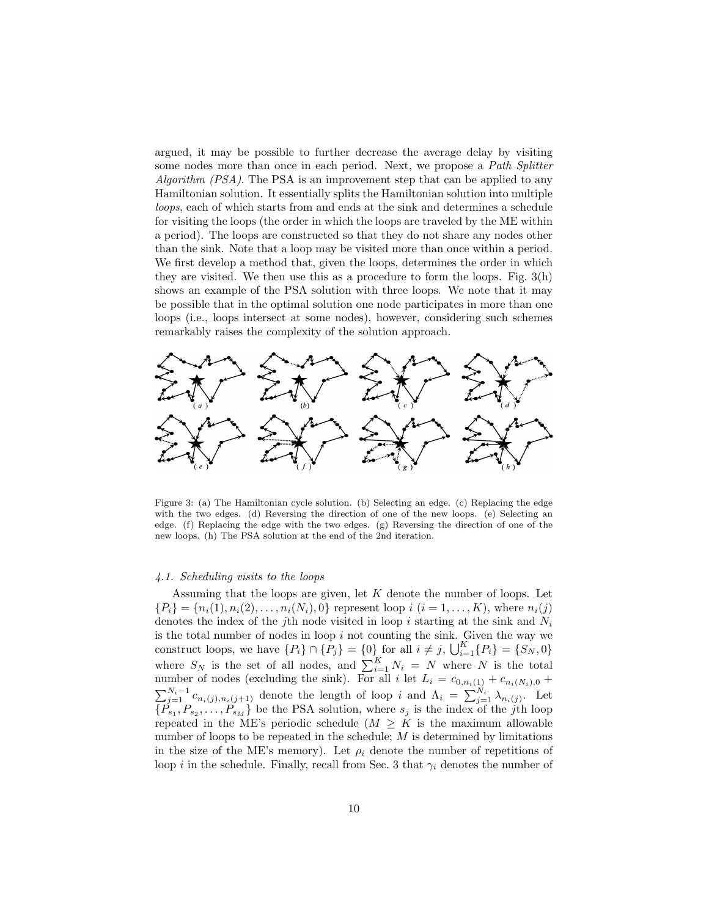argued, it may be possible to further decrease the average delay by visiting some nodes more than once in each period. Next, we propose a Path Splitter *Algorithm (PSA)*. The PSA is an improvement step that can be applied to any Hamiltonian solution. It essentially splits the Hamiltonian solution into multiple loops, each of which starts from and ends at the sink and determines a schedule for visiting the loops (the order in which the loops are traveled by the ME within a period). The loops are constructed so that they do not share any nodes other than the sink. Note that a loop may be visited more than once within a period. We first develop a method that, given the loops, determines the order in which they are visited. We then use this as a procedure to form the loops. Fig. 3(h) shows an example of the PSA solution with three loops. We note that it may be possible that in the optimal solution one node participates in more than one loops (i.e., loops intersect at some nodes), however, considering such schemes remarkably raises the complexity of the solution approach.



Figure 3: (a) The Hamiltonian cycle solution. (b) Selecting an edge. (c) Replacing the edge with the two edges. (d) Reversing the direction of one of the new loops. (e) Selecting an edge. (f) Replacing the edge with the two edges. (g) Reversing the direction of one of the new loops. (h) The PSA solution at the end of the 2nd iteration.

#### 4.1. Scheduling visits to the loops

Assuming that the loops are given, let  $K$  denote the number of loops. Let  ${P_i} = {n_i(1), n_i(2), \ldots, n_i(N_i), 0}$  represent loop  $i (i = 1, \ldots, K)$ , where  $n_i(j)$ denotes the index of the j<sup>th</sup> node visited in loop i starting at the sink and  $N_i$ is the total number of nodes in loop  $i$  not counting the sink. Given the way we construct loops, we have  $\{P_i\} \cap \{P_j\} = \{0\}$  for all  $i \neq j$ ,  $\bigcup_{i=1}^K \{P_i\} = \{S_N, 0\}$ where  $S_N$  is the set of all nodes, and  $\sum_{i=1}^K N_i = N$  where N is the total number of nodes (excluding the sink). For all i let  $L_i = c_{0,n_i(1)} + c_{n_i(N_i),0} + c_{n_i(N_i),0}$  $\sum_{j=1}^{N_i-1} c_{n_i(j),n_i(j+1)}$  denote the length of loop i and  $\Lambda_i = \sum_{j=1}^{N_i} \lambda_{n_i(j)}$ . Let  $\{\tilde{P}_{s_1}, P_{s_2}, \ldots, P_{s_M}\}\$ be the PSA solution, where  $s_j$  is the index of the j<sup>th</sup> loop repeated in the ME's periodic schedule  $(M \geq K)$  is the maximum allowable number of loops to be repeated in the schedule;  $M$  is determined by limitations in the size of the ME's memory). Let  $\rho_i$  denote the number of repetitions of loop *i* in the schedule. Finally, recall from Sec. 3 that  $\gamma_i$  denotes the number of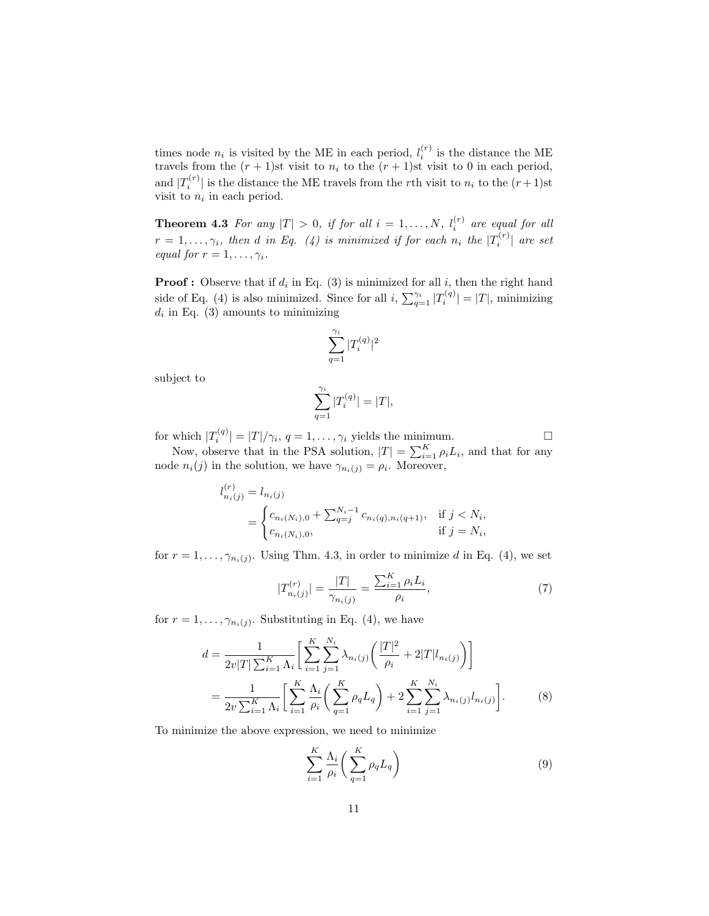times node  $n_i$  is visited by the ME in each period,  $l_i^{(r)}$  is the distance the ME travels from the  $(r + 1)$ st visit to  $n_i$  to the  $(r + 1)$ st visit to 0 in each period, and  $|T_i^{(r)}|$  is the distance the ME travels from the rth visit to  $n_i$  to the  $(r+1)$ st visit to  $n_i$  in each period.

**Theorem 4.3** For any  $|T| > 0$ , if for all  $i = 1, ..., N$ ,  $l_i^{(r)}$  are equal for all  $r=1,\ldots,\gamma_i,$  then d in Eq. (4) is minimized if for each  $n_i$  the  $|T_i^{(r)}|$  are set equal for  $r = 1, \ldots, \gamma_i$ .

**Proof**: Observe that if  $d_i$  in Eq. (3) is minimized for all  $i$ , then the right hand side of Eq. (4) is also minimized. Since for all  $i$ ,  $\sum_{q=1}^{\gamma_i} |T_i^{(q)}| = |T|$ , minimizing  $d_i$  in Eq. (3) amounts to minimizing

$$
\sum_{q=1}^{\gamma_i}|T_i^{(q)}|^2
$$

subject to

$$
\sum_{q=1}^{\gamma_i} |T_i^{(q)}| = |T|,
$$

for which  $|T_i^{(q)}| = |T|/\gamma_i$ ,  $q = 1, ..., \gamma_i$  yields the minimum.

Now, observe that in the PSA solution,  $|T| = \sum_{i=1}^{K} \rho_i L_i$ , and that for any node  $n_i(j)$  in the solution, we have  $\gamma_{n_i(j)} = \rho_i$ . Moreover,

$$
l_{n_i(j)}^{(r)} = l_{n_i(j)}
$$
  
= 
$$
\begin{cases} c_{n_i(N_i),0} + \sum_{q=j}^{N_i-1} c_{n_i(q),n_i(q+1)}, & \text{if } j < N_i, \\ c_{n_i(N_i),0}, & \text{if } j = N_i, \end{cases}
$$

for  $r = 1, \ldots, \gamma_{n_i(j)}$ . Using Thm. 4.3, in order to minimize d in Eq. (4), we set

$$
|T_{n_i(j)}^{(r)}| = \frac{|T|}{\gamma_{n_i(j)}} = \frac{\sum_{i=1}^{K} \rho_i L_i}{\rho_i},\tag{7}
$$

for  $r = 1, \ldots, \gamma_{n_i(j)}$ . Substituting in Eq. (4), we have

$$
d = \frac{1}{2v|T|\sum_{i=1}^{K} \Lambda_i} \left[ \sum_{i=1}^{K} \sum_{j=1}^{N_i} \lambda_{n_i(j)} \left( \frac{|T|^2}{\rho_i} + 2|T|l_{n_i(j)} \right) \right]
$$
  
= 
$$
\frac{1}{2v\sum_{i=1}^{K} \Lambda_i} \left[ \sum_{i=1}^{K} \frac{\Lambda_i}{\rho_i} \left( \sum_{q=1}^{K} \rho_q L_q \right) + 2 \sum_{i=1}^{K} \sum_{j=1}^{N_i} \lambda_{n_i(j)} l_{n_i(j)} \right].
$$
 (8)

To minimize the above expression, we need to minimize

$$
\sum_{i=1}^{K} \frac{\Lambda_i}{\rho_i} \left( \sum_{q=1}^{K} \rho_q L_q \right) \tag{9}
$$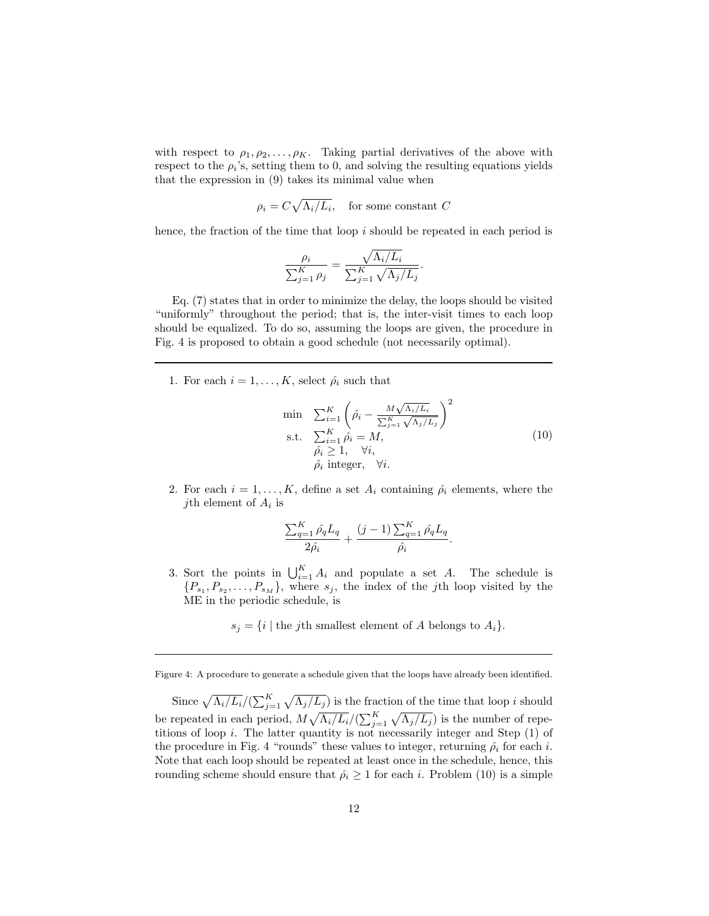with respect to  $\rho_1, \rho_2, \ldots, \rho_K$ . Taking partial derivatives of the above with respect to the  $\rho_i$ 's, setting them to 0, and solving the resulting equations yields that the expression in (9) takes its minimal value when

 $\rho_i = C \sqrt{\Lambda_i/L_i}$ , for some constant C

hence, the fraction of the time that loop i should be repeated in each period is

$$
\frac{\rho_i}{\sum_{j=1}^K \rho_j} = \frac{\sqrt{\Lambda_i/L_i}}{\sum_{j=1}^K \sqrt{\Lambda_j/L_j}}.
$$

Eq. (7) states that in order to minimize the delay, the loops should be visited "uniformly" throughout the period; that is, the inter-visit times to each loop should be equalized. To do so, assuming the loops are given, the procedure in Fig. 4 is proposed to obtain a good schedule (not necessarily optimal).

1. For each  $i = 1, \ldots, K$ , select  $\hat{\rho}_i$  such that

$$
\min \sum_{i=1}^{K} \left( \hat{\rho}_i - \frac{M \sqrt{\Lambda_i/L_i}}{\sum_{j=1}^{K} \sqrt{\Lambda_j/L_j}} \right)^2
$$
\n
$$
\text{s.t.} \quad \sum_{i=1}^{K} \hat{\rho}_i = M,
$$
\n
$$
\hat{\rho}_i \ge 1, \quad \forall i,
$$
\n
$$
\hat{\rho}_i \text{ integer}, \quad \forall i.
$$
\n(10)

2. For each  $i = 1, ..., K$ , define a set  $A_i$  containing  $\hat{\rho}_i$  elements, where the *j*th element of  $A_i$  is

$$
\frac{\sum_{q=1}^K \hat{\rho_q} L_q}{2\hat{\rho_i}} + \frac{(j-1)\sum_{q=1}^K \hat{\rho_q} L_q}{\hat{\rho_i}}.
$$

3. Sort the points in  $\bigcup_{i=1}^K A_i$  and populate a set A. The schedule is  $\{P_{s_1}, P_{s_2}, \ldots, P_{s_M}\}\$ , where  $s_j$ , the index of the *j*th loop visited by the ME in the periodic schedule, is

 $s_j = \{i \mid \text{the } j\text{th smallest element of } A \text{ belongs to } A_i\}.$ 

Since  $\sqrt{\Lambda_i/L_i}/(\sum_{j=1}^K \sqrt{\Lambda_j/L_j})$  is the fraction of the time that loop i should be repeated in each period,  $M \sqrt{\Lambda_i/L_i}/(\sum_{j=1}^K \sqrt{\Lambda_j/L_j})$  is the number of repetitions of loop i. The latter quantity is not necessarily integer and Step (1) of the procedure in Fig. 4 "rounds" these values to integer, returning  $\hat{\rho}_i$  for each i. Note that each loop should be repeated at least once in the schedule, hence, this rounding scheme should ensure that  $\hat{\rho}_i \geq 1$  for each i. Problem (10) is a simple

Figure 4: A procedure to generate a schedule given that the loops have already been identified.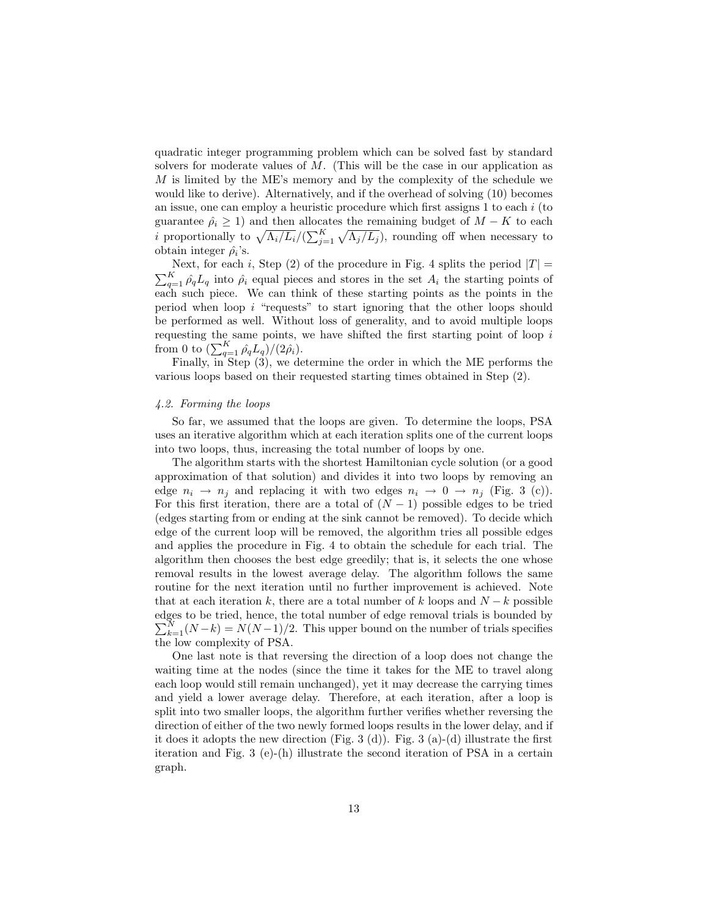quadratic integer programming problem which can be solved fast by standard solvers for moderate values of  $M$ . (This will be the case in our application as M is limited by the ME's memory and by the complexity of the schedule we would like to derive). Alternatively, and if the overhead of solving (10) becomes an issue, one can employ a heuristic procedure which first assigns 1 to each i (to guarantee  $\hat{\rho}_i \geq 1$ ) and then allocates the remaining budget of  $M - K$  to each *i* proportionally to  $\sqrt{\Lambda_i/L_i}/(\sum_{j=1}^K \sqrt{\Lambda_j/L_j})$ , rounding off when necessary to obtain integer  $\hat{\rho}_i$ 's.

Next, for each i, Step (2) of the procedure in Fig. 4 splits the period  $|T|$  =  $\sum_{q=1}^{K} \hat{\rho_q} L_q$  into  $\hat{\rho_i}$  equal pieces and stores in the set  $A_i$  the starting points of each such piece. We can think of these starting points as the points in the period when loop  $i$  "requests" to start ignoring that the other loops should be performed as well. Without loss of generality, and to avoid multiple loops requesting the same points, we have shifted the first starting point of loop  $i$ from 0 to  $\left(\sum_{q=1}^K \hat{\rho_q} L_q\right)/(2\hat{\rho_i}).$ 

Finally, in Step (3), we determine the order in which the ME performs the various loops based on their requested starting times obtained in Step (2).

#### 4.2. Forming the loops

So far, we assumed that the loops are given. To determine the loops, PSA uses an iterative algorithm which at each iteration splits one of the current loops into two loops, thus, increasing the total number of loops by one.

The algorithm starts with the shortest Hamiltonian cycle solution (or a good approximation of that solution) and divides it into two loops by removing an edge  $n_i \rightarrow n_j$  and replacing it with two edges  $n_i \rightarrow 0 \rightarrow n_j$  (Fig. 3 (c)). For this first iteration, there are a total of  $(N-1)$  possible edges to be tried (edges starting from or ending at the sink cannot be removed). To decide which edge of the current loop will be removed, the algorithm tries all possible edges and applies the procedure in Fig. 4 to obtain the schedule for each trial. The algorithm then chooses the best edge greedily; that is, it selects the one whose removal results in the lowest average delay. The algorithm follows the same routine for the next iteration until no further improvement is achieved. Note that at each iteration k, there are a total number of k loops and  $N - k$  possible edges to be tried, hence, the total number of edge removal trials is bounded by  $\sum_{k=1}^{N} (N-k) = N(N-1)/2$ . This upper bound on the number of trials specifies the low complexity of PSA.

One last note is that reversing the direction of a loop does not change the waiting time at the nodes (since the time it takes for the ME to travel along each loop would still remain unchanged), yet it may decrease the carrying times and yield a lower average delay. Therefore, at each iteration, after a loop is split into two smaller loops, the algorithm further verifies whether reversing the direction of either of the two newly formed loops results in the lower delay, and if it does it adopts the new direction (Fig. 3 (d)). Fig. 3 (a)-(d) illustrate the first iteration and Fig. 3 (e)-(h) illustrate the second iteration of PSA in a certain graph.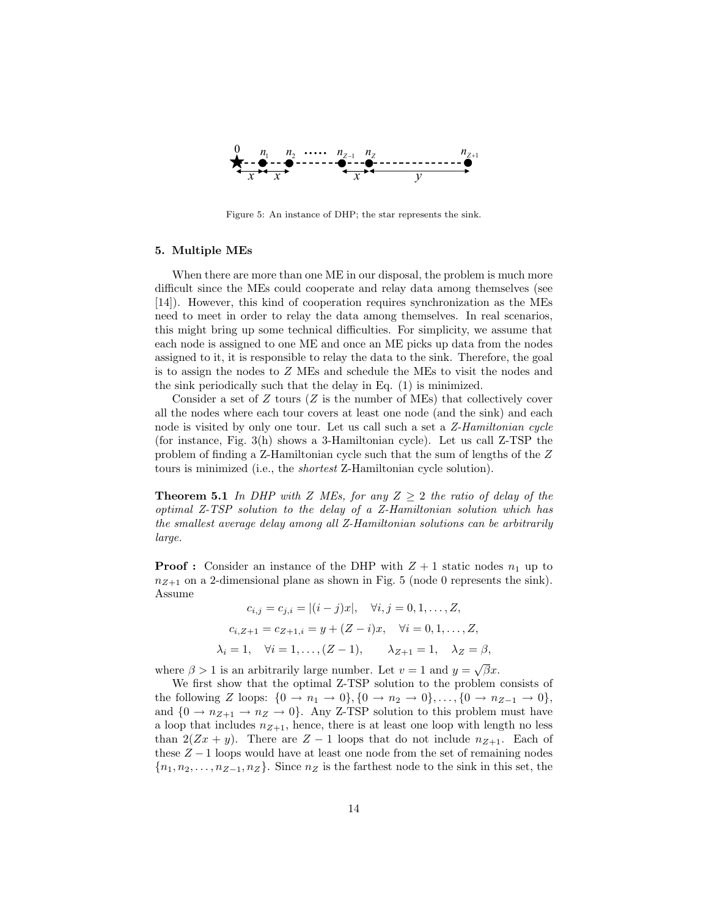

Figure 5: An instance of DHP; the star represents the sink.

### 5. Multiple MEs

When there are more than one ME in our disposal, the problem is much more difficult since the MEs could cooperate and relay data among themselves (see [14]). However, this kind of cooperation requires synchronization as the MEs need to meet in order to relay the data among themselves. In real scenarios, this might bring up some technical difficulties. For simplicity, we assume that each node is assigned to one ME and once an ME picks up data from the nodes assigned to it, it is responsible to relay the data to the sink. Therefore, the goal is to assign the nodes to Z MEs and schedule the MEs to visit the nodes and the sink periodically such that the delay in Eq. (1) is minimized.

Consider a set of  $Z$  tours ( $Z$  is the number of MEs) that collectively cover all the nodes where each tour covers at least one node (and the sink) and each node is visited by only one tour. Let us call such a set a Z-Hamiltonian cycle (for instance, Fig. 3(h) shows a 3-Hamiltonian cycle). Let us call Z-TSP the problem of finding a Z-Hamiltonian cycle such that the sum of lengths of the Z tours is minimized (i.e., the shortest Z-Hamiltonian cycle solution).

**Theorem 5.1** In DHP with Z MEs, for any  $Z \geq 2$  the ratio of delay of the optimal Z-TSP solution to the delay of a Z-Hamiltonian solution which has the smallest average delay among all Z-Hamiltonian solutions can be arbitrarily large.

**Proof :** Consider an instance of the DHP with  $Z + 1$  static nodes  $n_1$  up to  $n_{Z+1}$  on a 2-dimensional plane as shown in Fig. 5 (node 0 represents the sink). Assume

$$
c_{i,j} = c_{j,i} = |(i-j)x|, \quad \forall i, j = 0, 1, ..., Z,
$$
  
\n
$$
c_{i,Z+1} = c_{Z+1,i} = y + (Z-i)x, \quad \forall i = 0, 1, ..., Z,
$$
  
\n
$$
\lambda_i = 1, \quad \forall i = 1, ..., (Z-1), \qquad \lambda_{Z+1} = 1, \quad \lambda_Z = \beta,
$$

where  $\beta > 1$  is an arbitrarily large number. Let  $v = 1$  and  $y = \sqrt{\beta}x$ .

We first show that the optimal Z-TSP solution to the problem consists of the following Z loops:  $\{0 \to n_1 \to 0\}, \{0 \to n_2 \to 0\}, \ldots, \{0 \to n_{Z-1} \to 0\},$ and  $\{0 \to n_{Z+1} \to n_Z \to 0\}$ . Any Z-TSP solution to this problem must have a loop that includes  $n_{Z+1}$ , hence, there is at least one loop with length no less than  $2(Zx + y)$ . There are  $Z - 1$  loops that do not include  $n_{Z+1}$ . Each of these  $Z - 1$  loops would have at least one node from the set of remaining nodes  ${n_1, n_2, \ldots, n_{Z-1}, n_Z}$ . Since  $n_Z$  is the farthest node to the sink in this set, the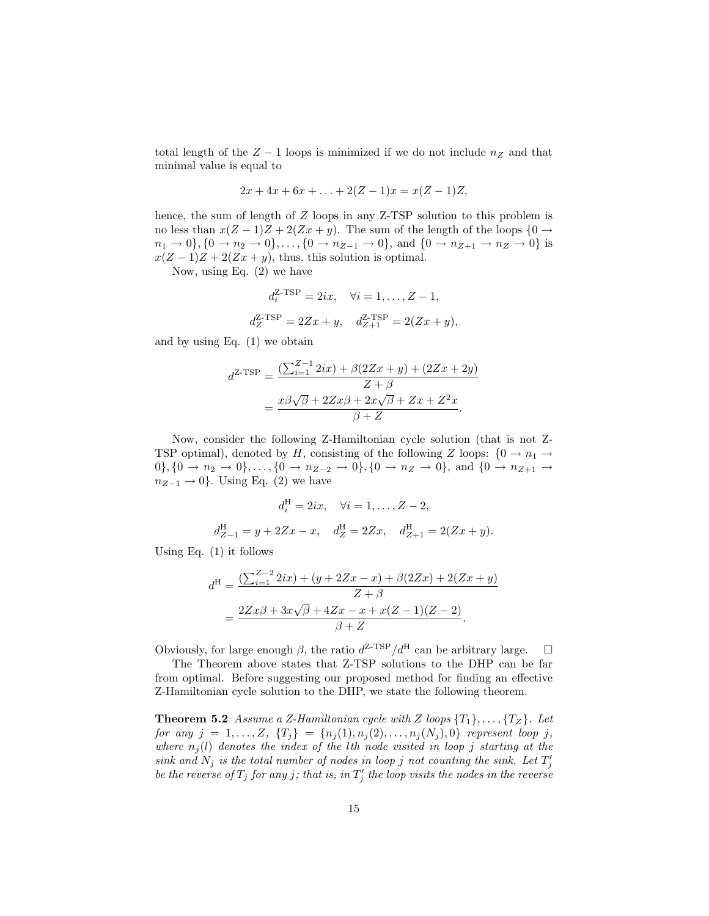total length of the  $Z - 1$  loops is minimized if we do not include  $n_Z$  and that minimal value is equal to

$$
2x + 4x + 6x + \ldots + 2(Z - 1)x = x(Z - 1)Z,
$$

hence, the sum of length of Z loops in any Z-TSP solution to this problem is no less than  $x(Z-1)Z + 2(Zx + y)$ . The sum of the length of the loops  $\{0 \rightarrow$  $n_1 \to 0$ ,  $\{0 \to n_2 \to 0\}, \ldots, \{0 \to n_{Z-1} \to 0\}$ , and  $\{0 \to n_{Z+1} \to n_Z \to 0\}$  is  $x(Z-1)Z + 2(Zx+y)$ , thus, this solution is optimal.

Now, using Eq. (2) we have

$$
d_i^{\text{Z-TSP}} = 2ix, \quad \forall i = 1, ..., Z - 1,
$$
  
 $d_Z^{\text{Z-TSP}} = 2Zx + y, \quad d_{Z+1}^{\text{Z-TSP}} = 2(Zx + y),$ 

and by using Eq. (1) we obtain

$$
d^{Z\text{-TSP}} = \frac{\left(\sum_{i=1}^{Z-1} 2ix\right) + \beta(2Zx + y) + (2Zx + 2y)}{Z + \beta} = \frac{x\beta\sqrt{\beta} + 2Zx\beta + 2x\sqrt{\beta} + Zx + Z^2x}{\beta + Z}.
$$

Now, consider the following Z-Hamiltonian cycle solution (that is not Z-TSP optimal), denoted by H, consisting of the following Z loops:  $\{0 \rightarrow n_1 \rightarrow$ 0}, {0 → n<sub>2</sub> → 0}, ..., {0 → n<sub>Z-2</sub> → 0}, {0 → n<sub>Z</sub> → 0}, and {0 → n<sub>Z+1</sub> →  $n_{Z-1} \rightarrow 0$ . Using Eq. (2) we have

$$
d_i^{\text{H}} = 2ix, \quad \forall i = 1, ..., Z - 2,
$$
  

$$
d_{Z-1}^{\text{H}} = y + 2Zx - x, \quad d_Z^{\text{H}} = 2Zx, \quad d_{Z+1}^{\text{H}} = 2(Zx + y).
$$

Using Eq. (1) it follows

$$
d^{\text{H}} = \frac{(\sum_{i=1}^{Z-2} 2ix) + (y + 2Zx - x) + \beta(2Zx) + 2(Zx + y)}{Z + \beta}
$$
  
= 
$$
\frac{2Zx\beta + 3x\sqrt{\beta} + 4Zx - x + x(Z - 1)(Z - 2)}{\beta + Z}.
$$

Obviously, for large enough  $\beta$ , the ratio  $d^{Z-TSP}/d^H$  can be arbitrary large.  $\Box$ 

The Theorem above states that Z-TSP solutions to the DHP can be far from optimal. Before suggesting our proposed method for finding an effective Z-Hamiltonian cycle solution to the DHP, we state the following theorem.

**Theorem 5.2** Assume a Z-Hamiltonian cycle with Z loops  $\{T_1\}, \ldots, \{T_Z\}$ . Let for any  $j = 1, ..., Z$ ,  $\{T_j\} = \{n_j(1), n_j(2), ..., n_j(N_j), 0\}$  represent loop j, where  $n_j(l)$  denotes the index of the lth node visited in loop j starting at the sink and  $N_j$  is the total number of nodes in loop j not counting the sink. Let  $T'_j$ be the reverse of  $T_j$  for any j; that is, in  $T'_j$  the loop visits the nodes in the reverse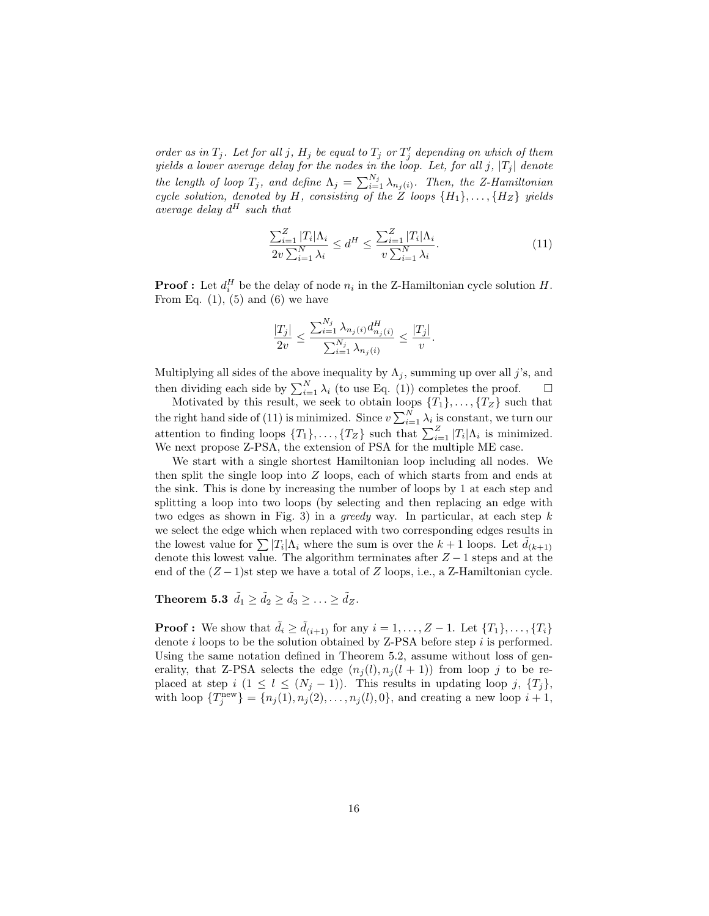order as in  $T_j$ . Let for all j,  $H_j$  be equal to  $T_j$  or  $T'_j$  depending on which of them yields a lower average delay for the nodes in the loop. Let, for all j,  $|T_j|$  denote the length of loop  $T_j$ , and define  $\Lambda_j = \sum_{i=1}^{N_j} \lambda_{n_j(i)}$ . Then, the Z-Hamiltonian cycle solution, denoted by H, consisting of the Z loops  $\{H_1\}, \ldots, \{H_Z\}$  yields average delay  $d^H$  such that

$$
\frac{\sum_{i=1}^{Z} |T_i| \Lambda_i}{2v \sum_{i=1}^{N} \lambda_i} \le d^H \le \frac{\sum_{i=1}^{Z} |T_i| \Lambda_i}{v \sum_{i=1}^{N} \lambda_i}.
$$
\n(11)

**Proof**: Let  $d_i^H$  be the delay of node  $n_i$  in the Z-Hamiltonian cycle solution  $H$ . From Eq.  $(1)$ ,  $(5)$  and  $(6)$  we have

$$
\frac{|T_j|}{2v} \le \frac{\sum_{i=1}^{N_j} \lambda_{n_j(i)} d_{n_j(i)}^H}{\sum_{i=1}^{N_j} \lambda_{n_j(i)}} \le \frac{|T_j|}{v}.
$$

Multiplying all sides of the above inequality by  $\Lambda_j$ , summing up over all j's, and then dividing each side by  $\sum_{i=1}^{N} \lambda_i$  (to use Eq. (1)) completes the proof.  $\Box$ 

Motivated by this result, we seek to obtain loops  $\{T_1\}, \ldots, \{T_Z\}$  such that the right hand side of (11) is minimized. Since  $v \sum_{i=1}^{N} \lambda_i$  is constant, we turn our attention to finding loops  $\{T_1\}, \ldots, \{T_Z\}$  such that  $\sum_{i=1}^Z |T_i| \Lambda_i$  is minimized. We next propose Z-PSA, the extension of PSA for the multiple ME case.

We start with a single shortest Hamiltonian loop including all nodes. We then split the single loop into Z loops, each of which starts from and ends at the sink. This is done by increasing the number of loops by 1 at each step and splitting a loop into two loops (by selecting and then replacing an edge with two edges as shown in Fig. 3) in a greedy way. In particular, at each step  $k$ we select the edge which when replaced with two corresponding edges results in the lowest value for  $\sum |T_i|\Lambda_i$  where the sum is over the  $k+1$  loops. Let  $\tilde{d}_{(k+1)}$ denote this lowest value. The algorithm terminates after  $Z - 1$  steps and at the end of the  $(Z-1)$ st step we have a total of Z loops, i.e., a Z-Hamiltonian cycle.

Theorem 5.3  $\tilde{d}_1 \geq \tilde{d}_2 \geq \tilde{d}_3 \geq \ldots \geq \tilde{d}_Z$ .

**Proof :** We show that  $d_i \geq d_{(i+1)}$  for any  $i = 1, \ldots, Z-1$ . Let  $\{T_1\}, \ldots, \{T_i\}$ denote  $i$  loops to be the solution obtained by Z-PSA before step  $i$  is performed. Using the same notation defined in Theorem 5.2, assume without loss of generality, that Z-PSA selects the edge  $(n_i(l), n_i(l + 1))$  from loop j to be replaced at step  $i$   $(1 \leq l \leq (N_j-1))$ . This results in updating loop j,  $\{T_j\}$ , with loop  $\{T_j^{\text{new}}\} = \{n_j(1), n_j(2), \ldots, n_j(l), 0\}$ , and creating a new loop  $i + 1$ ,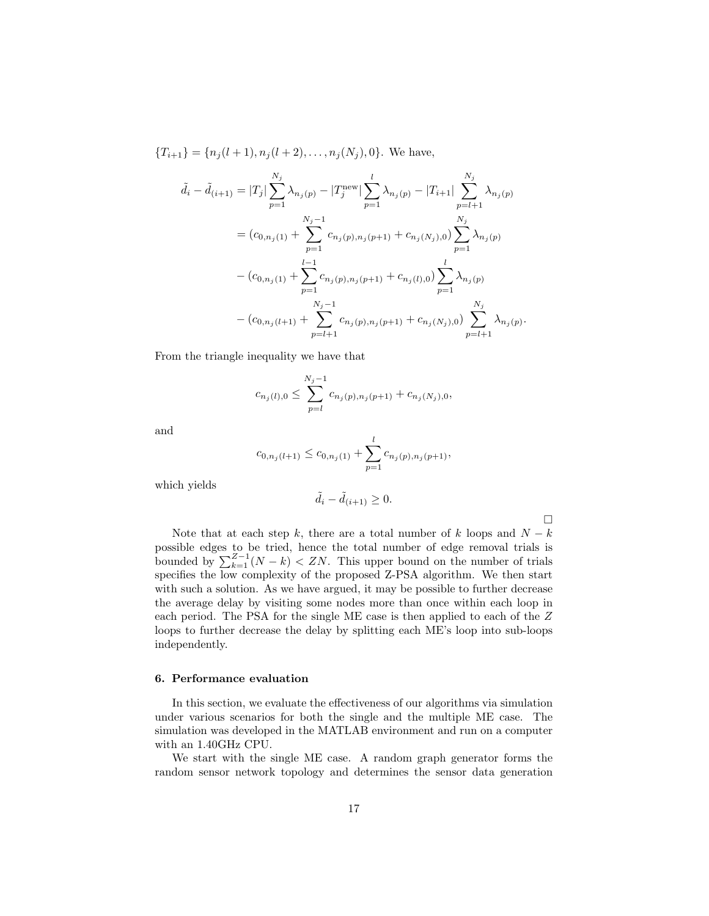${T_{i+1}} = {n_j(l+1), n_j(l+2), \ldots, n_j(N_j), 0}.$  We have,

$$
\tilde{d}_{i} - \tilde{d}_{(i+1)} = |T_{j}| \sum_{p=1}^{N_{j}} \lambda_{n_{j}(p)} - |T_{j}^{\text{new}}| \sum_{p=1}^{l} \lambda_{n_{j}(p)} - |T_{i+1}| \sum_{p=l+1}^{N_{j}} \lambda_{n_{j}(p)}
$$
\n
$$
= (c_{0,n_{j}(1)} + \sum_{p=1}^{N_{j}-1} c_{n_{j}(p),n_{j}(p+1)} + c_{n_{j}(N_{j}),0}) \sum_{p=1}^{N_{j}} \lambda_{n_{j}(p)}
$$
\n
$$
- (c_{0,n_{j}(1)} + \sum_{p=1}^{l-1} c_{n_{j}(p),n_{j}(p+1)} + c_{n_{j}(l),0}) \sum_{p=1}^{l} \lambda_{n_{j}(p)}
$$
\n
$$
- (c_{0,n_{j}(l+1)} + \sum_{p=l+1}^{N_{j}-1} c_{n_{j}(p),n_{j}(p+1)} + c_{n_{j}(N_{j}),0}) \sum_{p=l+1}^{N_{j}} \lambda_{n_{j}(p)}.
$$

From the triangle inequality we have that

$$
c_{n_j(l),0} \le \sum_{p=l}^{N_j-1} c_{n_j(p),n_j(p+1)} + c_{n_j(N_j),0},
$$

and

$$
c_{0,n_j(l+1)} \le c_{0,n_j(1)} + \sum_{p=1}^{l} c_{n_j(p),n_j(p+1)},
$$

which yields

$$
\tilde{d}_i - \tilde{d}_{(i+1)} \ge 0.
$$

 $\Box$ 

Note that at each step k, there are a total number of k loops and  $N - k$ possible edges to be tried, hence the total number of edge removal trials is bounded by  $\sum_{k=1}^{Z-1} (N-k) < ZN$ . This upper bound on the number of trials specifies the low complexity of the proposed Z-PSA algorithm. We then start with such a solution. As we have argued, it may be possible to further decrease the average delay by visiting some nodes more than once within each loop in each period. The PSA for the single ME case is then applied to each of the Z loops to further decrease the delay by splitting each ME's loop into sub-loops independently.

#### 6. Performance evaluation

In this section, we evaluate the effectiveness of our algorithms via simulation under various scenarios for both the single and the multiple ME case. The simulation was developed in the MATLAB environment and run on a computer with an 1.40GHz CPU.

We start with the single ME case. A random graph generator forms the random sensor network topology and determines the sensor data generation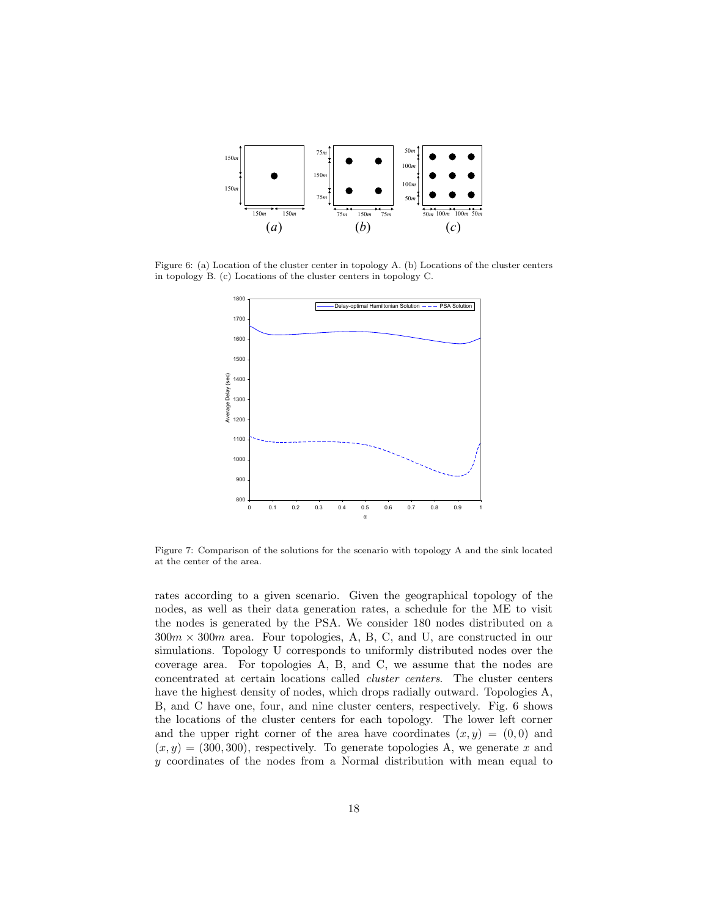

Figure 6: (a) Location of the cluster center in topology A. (b) Locations of the cluster centers in topology B. (c) Locations of the cluster centers in topology C.



Figure 7: Comparison of the solutions for the scenario with topology A and the sink located at the center of the area.

rates according to a given scenario. Given the geographical topology of the nodes, as well as their data generation rates, a schedule for the ME to visit the nodes is generated by the PSA. We consider 180 nodes distributed on a  $300m \times 300m$  area. Four topologies, A, B, C, and U, are constructed in our simulations. Topology U corresponds to uniformly distributed nodes over the coverage area. For topologies A, B, and C, we assume that the nodes are concentrated at certain locations called cluster centers. The cluster centers have the highest density of nodes, which drops radially outward. Topologies A, B, and C have one, four, and nine cluster centers, respectively. Fig. 6 shows the locations of the cluster centers for each topology. The lower left corner and the upper right corner of the area have coordinates  $(x, y) = (0, 0)$  and  $(x, y) = (300, 300)$ , respectively. To generate topologies A, we generate x and y coordinates of the nodes from a Normal distribution with mean equal to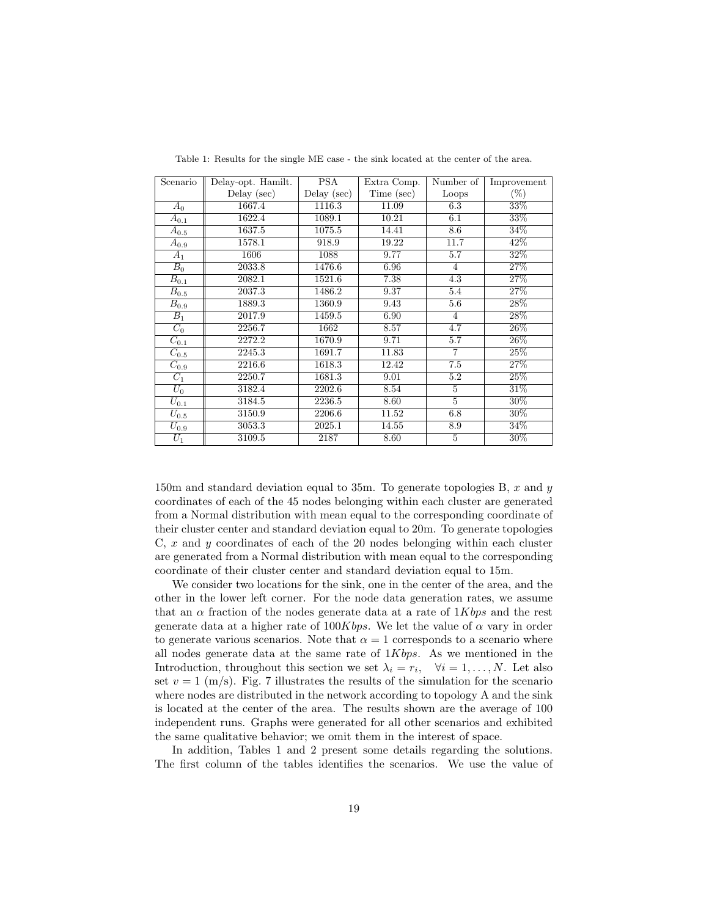| Scenario             | Delay-opt. Hamilt. | <b>PSA</b>    | Extra Comp. | Number of      | Improvement |
|----------------------|--------------------|---------------|-------------|----------------|-------------|
|                      | Delay $(\sec)$     | $Delay$ (sec) | Time (sec)  | Loops          | $(\%)$      |
| $A_0$                | 1667.4             | 1116.3        | 11.09       | 6.3            | 33%         |
| $A_{0.1}$            | 1622.4             | 1089.1        | 10.21       | 6.1            | 33%         |
| $A_{0.5}$            | 1637.5             | 1075.5        | 14.41       | 8.6            | 34%         |
| $A_{0.9}$            | 1578.1             | 918.9         | 19.22       | 11.7           | 42\%        |
| $A_1$                | 1606               | 1088          | 9.77        | 5.7            | 32%         |
| $B_0$                | 2033.8             | 1476.6        | 6.96        | 4              | $27\%$      |
| $B_{0.1}$            | 2082.1             | 1521.6        | 7.38        | 4.3            | 27%         |
| $B_{0.5}$            | 2037.3             | 1486.2        | 9.37        | 5.4            | 27%         |
| $B_{0.9}$            | 1889.3             | 1360.9        | 9.43        | 5.6            | 28%         |
| $B_1$                | 2017.9             | 1459.5        | 6.90        | $\overline{4}$ | 28%         |
| $C_0$                | 2256.7             | 1662          | 8.57        | 4.7            | $26\%$      |
| $C_{0.1}$            | 2272.2             | 1670.9        | 9.71        | 5.7            | 26\%        |
| $C_{0.5}$            | 2245.3             | 1691.7        | 11.83       | $\overline{7}$ | 25%         |
| $C_{0.9}$            | 2216.6             | 1618.3        | 12.42       | 7.5            | 27%         |
| $C_1$                | 2250.7             | 1681.3        | 9.01        | 5.2            | 25%         |
| $U_0$                | 3182.4             | 2202.6        | 8.54        | 5              | 31\%        |
| $\overline{U}_{0.1}$ | 3184.5             | 2236.5        | 8.60        | $\overline{5}$ | $30\%$      |
| $U_{\rm 0.5}$        | 3150.9             | 2206.6        | 11.52       | 6.8            | $30\%$      |
| $U_{0.9}$            | 3053.3             | 2025.1        | 14.55       | 8.9            | 34%         |
| $U_1$                | 3109.5             | 2187          | 8.60        | 5              | 30%         |

Table 1: Results for the single ME case - the sink located at the center of the area.

150m and standard deviation equal to 35m. To generate topologies B,  $x$  and  $y$ coordinates of each of the 45 nodes belonging within each cluster are generated from a Normal distribution with mean equal to the corresponding coordinate of their cluster center and standard deviation equal to 20m. To generate topologies C, x and y coordinates of each of the 20 nodes belonging within each cluster are generated from a Normal distribution with mean equal to the corresponding coordinate of their cluster center and standard deviation equal to 15m.

We consider two locations for the sink, one in the center of the area, and the other in the lower left corner. For the node data generation rates, we assume that an  $\alpha$  fraction of the nodes generate data at a rate of 1Kbps and the rest generate data at a higher rate of  $100Kbps$ . We let the value of  $\alpha$  vary in order to generate various scenarios. Note that  $\alpha = 1$  corresponds to a scenario where all nodes generate data at the same rate of 1Kbps. As we mentioned in the Introduction, throughout this section we set  $\lambda_i = r_i, \quad \forall i = 1, ..., N$ . Let also set  $v = 1$  (m/s). Fig. 7 illustrates the results of the simulation for the scenario where nodes are distributed in the network according to topology A and the sink is located at the center of the area. The results shown are the average of 100 independent runs. Graphs were generated for all other scenarios and exhibited the same qualitative behavior; we omit them in the interest of space.

In addition, Tables 1 and 2 present some details regarding the solutions. The first column of the tables identifies the scenarios. We use the value of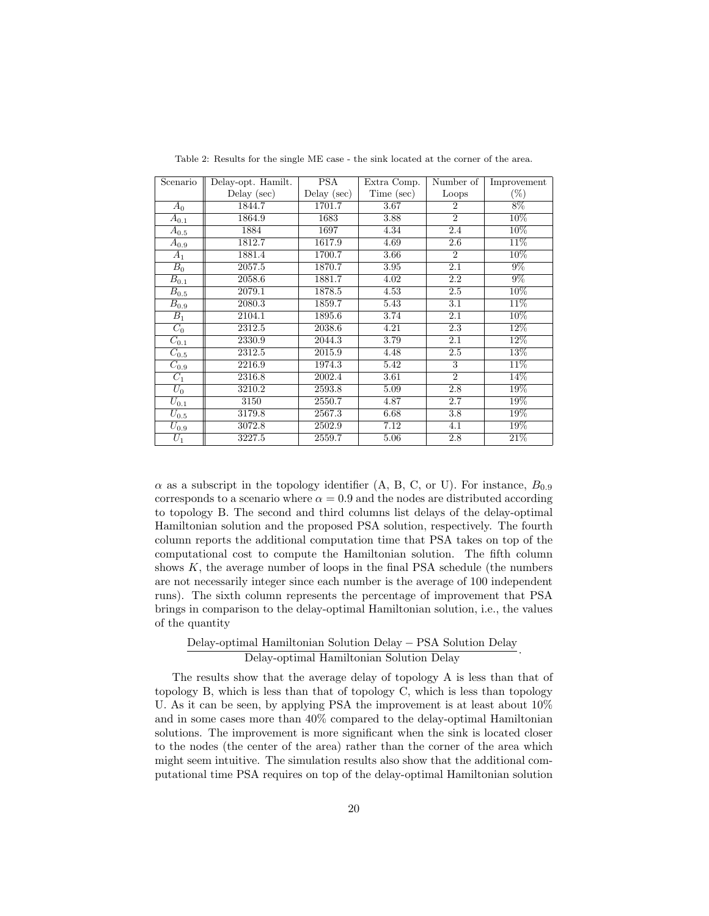| Scenario             | Delay-opt. Hamilt. | PSA           | Extra Comp. | Number of      | Improvement |
|----------------------|--------------------|---------------|-------------|----------------|-------------|
|                      | Delay $(\sec)$     | $Delay$ (sec) | Time (sec)  | Loops          | $(\%)$      |
| $A_0$                | 1844.7             | 1701.7        | 3.67        | $\overline{2}$ | 8%          |
| $A_{0.1}$            | 1864.9             | 1683          | 3.88        | $\overline{2}$ | 10%         |
| $A_{0.5}$            | 1884               | 1697          | 4.34        | 2.4            | 10%         |
| $\overline{A}_{0.9}$ | 1812.7             | 1617.9        | 4.69        | 2.6            | 11\%        |
| $A_1$                | 1881.4             | 1700.7        | 3.66        | $\overline{2}$ | $10\%$      |
| $B_0$                | 2057.5             | 1870.7        | 3.95        | 2.1            | $9\%$       |
| $B_{0.1}$            | 2058.6             | 1881.7        | 4.02        | 2.2            | $9\%$       |
| $B_{0.5}$            | 2079.1             | 1878.5        | 4.53        | 2.5            | 10%         |
| $B_{0.9}$            | 2080.3             | 1859.7        | 5.43        | 3.1            | 11\%        |
| $B_1$                | 2104.1             | 1895.6        | 3.74        | 2.1            | 10%         |
| $C_0$                | 2312.5             | 2038.6        | 4.21        | 2.3            | $12\%$      |
| $C_{0.1}$            | 2330.9             | 2044.3        | 3.79        | 2.1            | 12%         |
| $C_{0.5}$            | 2312.5             | 2015.9        | 4.48        | 2.5            | 13%         |
| $C_{0.9}$            | 2216.9             | 1974.3        | 5.42        | 3              | 11\%        |
| $C_1$                | 2316.8             | 2002.4        | 3.61        | $\overline{2}$ | 14%         |
| $U_0$                | 3210.2             | 2593.8        | 5.09        | 2.8            | 19%         |
| $\overline{U}_{0.1}$ | 3150               | 2550.7        | 4.87        | 2.7            | 19%         |
| $\overline{U_{0.5}}$ | 3179.8             | 2567.3        | 6.68        | 3.8            | 19%         |
| $U_{0.9}$            | 3072.8             | 2502.9        | 7.12        | 4.1            | 19%         |
| $U_1$                | 3227.5             | 2559.7        | 5.06        | 2.8            | 21%         |

Table 2: Results for the single ME case - the sink located at the corner of the area.

 $\alpha$  as a subscript in the topology identifier (A, B, C, or U). For instance,  $B_{0.9}$ corresponds to a scenario where  $\alpha = 0.9$  and the nodes are distributed according to topology B. The second and third columns list delays of the delay-optimal Hamiltonian solution and the proposed PSA solution, respectively. The fourth column reports the additional computation time that PSA takes on top of the computational cost to compute the Hamiltonian solution. The fifth column shows  $K$ , the average number of loops in the final PSA schedule (the numbers are not necessarily integer since each number is the average of 100 independent runs). The sixth column represents the percentage of improvement that PSA brings in comparison to the delay-optimal Hamiltonian solution, i.e., the values of the quantity

## Delay-optimal Hamiltonian Solution Delay − PSA Solution Delay Delay-optimal Hamiltonian Solution Delay .

The results show that the average delay of topology A is less than that of topology B, which is less than that of topology C, which is less than topology U. As it can be seen, by applying PSA the improvement is at least about  $10\%$ and in some cases more than 40% compared to the delay-optimal Hamiltonian solutions. The improvement is more significant when the sink is located closer to the nodes (the center of the area) rather than the corner of the area which might seem intuitive. The simulation results also show that the additional computational time PSA requires on top of the delay-optimal Hamiltonian solution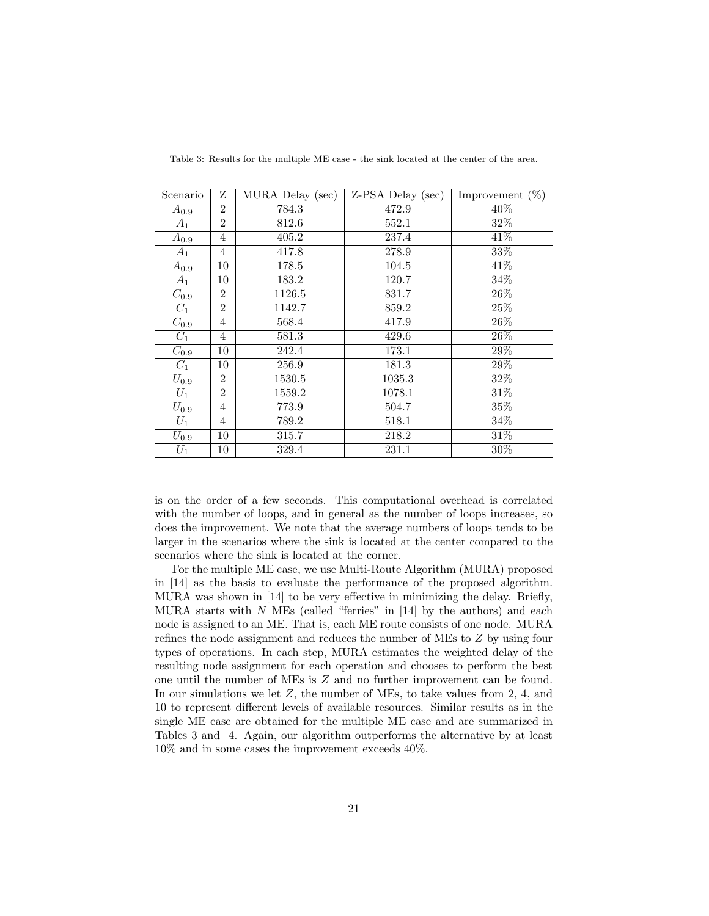| Scenario  | Ζ              | MURA Delay (sec) | $Z-PSA$ Delay (sec) | Improvement $(\%)$ |
|-----------|----------------|------------------|---------------------|--------------------|
| $A_{0.9}$ | $\overline{2}$ | 784.3            | 472.9               | 40%                |
| $A_1$     | $\overline{2}$ | 812.6            | 552.1               | 32%                |
| $A_{0.9}$ | 4              | 405.2            | 237.4               | 41%                |
| $A_1$     | $\overline{4}$ | 417.8            | 278.9               | 33%                |
| $A_{0.9}$ | 10             | 178.5            | 104.5               | 41\%               |
| $A_1$     | 10             | 183.2            | 120.7               | 34%                |
| $C_{0.9}$ | $\overline{2}$ | 1126.5           | 831.7               | 26%                |
| $C_1$     | $\overline{2}$ | 1142.7           | 859.2               | 25%                |
| $C_{0.9}$ | $\overline{4}$ | 568.4            | 417.9               | 26%                |
| $C_1$     | 4              | 581.3            | 429.6               | 26%                |
| $C_{0.9}$ | 10             | 242.4            | 173.1               | 29%                |
| $C_1$     | 10             | 256.9            | 181.3               | 29%                |
| $U_{0.9}$ | $\overline{2}$ | 1530.5           | 1035.3              | 32%                |
| $U_1$     | $\overline{2}$ | 1559.2           | 1078.1              | 31%                |
| $U_{0.9}$ | 4              | 773.9            | 504.7               | 35%                |
| $U_1$     | $\overline{4}$ | 789.2            | 518.1               | 34%                |
| $U_{0.9}$ | 10             | 315.7            | 218.2               | 31%                |
| $U_1$     | 10             | 329.4            | 231.1               | $30\%$             |

Table 3: Results for the multiple ME case - the sink located at the center of the area.

is on the order of a few seconds. This computational overhead is correlated with the number of loops, and in general as the number of loops increases, so does the improvement. We note that the average numbers of loops tends to be larger in the scenarios where the sink is located at the center compared to the scenarios where the sink is located at the corner.

For the multiple ME case, we use Multi-Route Algorithm (MURA) proposed in [14] as the basis to evaluate the performance of the proposed algorithm. MURA was shown in [14] to be very effective in minimizing the delay. Briefly, MURA starts with  $N$  MEs (called "ferries" in [14] by the authors) and each node is assigned to an ME. That is, each ME route consists of one node. MURA refines the node assignment and reduces the number of MEs to Z by using four types of operations. In each step, MURA estimates the weighted delay of the resulting node assignment for each operation and chooses to perform the best one until the number of MEs is Z and no further improvement can be found. In our simulations we let Z, the number of MEs, to take values from 2, 4, and 10 to represent different levels of available resources. Similar results as in the single ME case are obtained for the multiple ME case and are summarized in Tables 3 and 4. Again, our algorithm outperforms the alternative by at least 10% and in some cases the improvement exceeds 40%.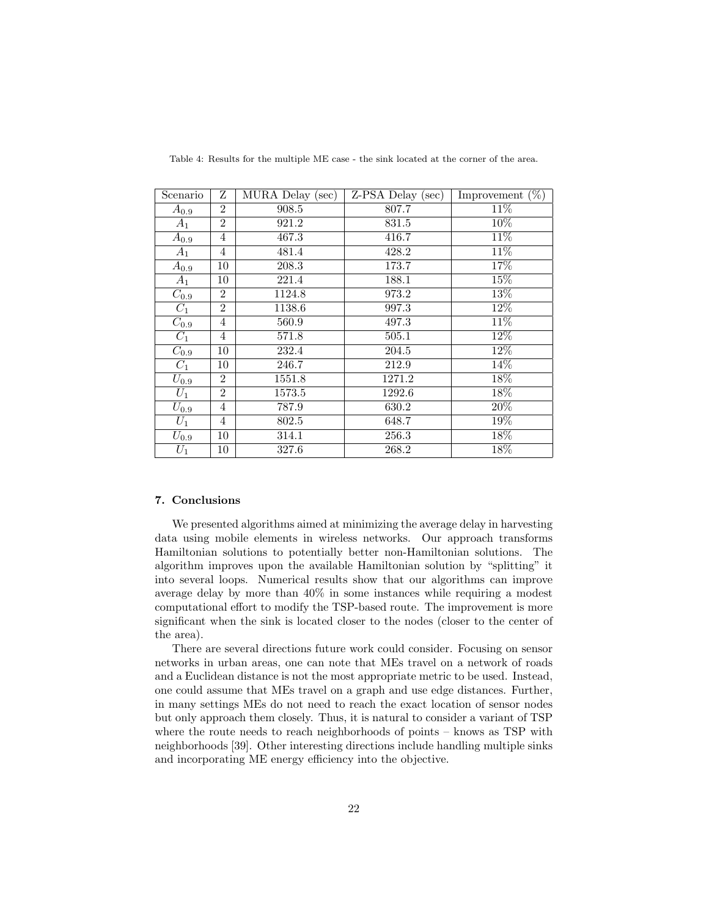| Scenario  | Ζ              | $\overline{\text{MURA}}$ Delay (sec) | $Z-PSA$ Delay (sec) | Improvement $(\%)$ |
|-----------|----------------|--------------------------------------|---------------------|--------------------|
| $A_{0.9}$ | $\overline{2}$ | 908.5                                | 807.7               | $11\%$             |
| $A_1$     | $\overline{2}$ | 921.2                                | 831.5               | 10%                |
| $A_{0.9}$ | 4              | 467.3                                | 416.7               | 11%                |
| $A_1$     | $\overline{4}$ | 481.4                                | 428.2               | $11\%$             |
| $A_{0.9}$ | 10             | 208.3                                | 173.7               | 17%                |
| $A_1$     | 10             | 221.4                                | 188.1               | 15%                |
| $C_{0.9}$ | $\overline{2}$ | 1124.8                               | 973.2               | 13%                |
| $C_1$     | $\overline{2}$ | 1138.6                               | 997.3               | 12%                |
| $C_{0.9}$ | $\overline{4}$ | 560.9                                | 497.3               | 11%                |
| $C_1$     | 4              | 571.8                                | 505.1               | 12%                |
| $C_{0.9}$ | 10             | 232.4                                | 204.5               | 12%                |
| $C_1$     | 10             | 246.7                                | 212.9               | 14%                |
| $U_{0.9}$ | $\overline{2}$ | 1551.8                               | 1271.2              | 18%                |
| $U_1$     | $\overline{2}$ | 1573.5                               | 1292.6              | 18%                |
| $U_{0.9}$ | 4              | 787.9                                | 630.2               | 20%                |
| $U_1$     | $\overline{4}$ | 802.5                                | 648.7               | 19%                |
| $U_{0.9}$ | 10             | 314.1                                | 256.3               | 18%                |
| $U_1$     | 10             | 327.6                                | 268.2               | 18%                |

Table 4: Results for the multiple ME case - the sink located at the corner of the area.

#### 7. Conclusions

We presented algorithms aimed at minimizing the average delay in harvesting data using mobile elements in wireless networks. Our approach transforms Hamiltonian solutions to potentially better non-Hamiltonian solutions. The algorithm improves upon the available Hamiltonian solution by "splitting" it into several loops. Numerical results show that our algorithms can improve average delay by more than 40% in some instances while requiring a modest computational effort to modify the TSP-based route. The improvement is more significant when the sink is located closer to the nodes (closer to the center of the area).

There are several directions future work could consider. Focusing on sensor networks in urban areas, one can note that MEs travel on a network of roads and a Euclidean distance is not the most appropriate metric to be used. Instead, one could assume that MEs travel on a graph and use edge distances. Further, in many settings MEs do not need to reach the exact location of sensor nodes but only approach them closely. Thus, it is natural to consider a variant of TSP where the route needs to reach neighborhoods of points – knows as TSP with neighborhoods [39]. Other interesting directions include handling multiple sinks and incorporating ME energy efficiency into the objective.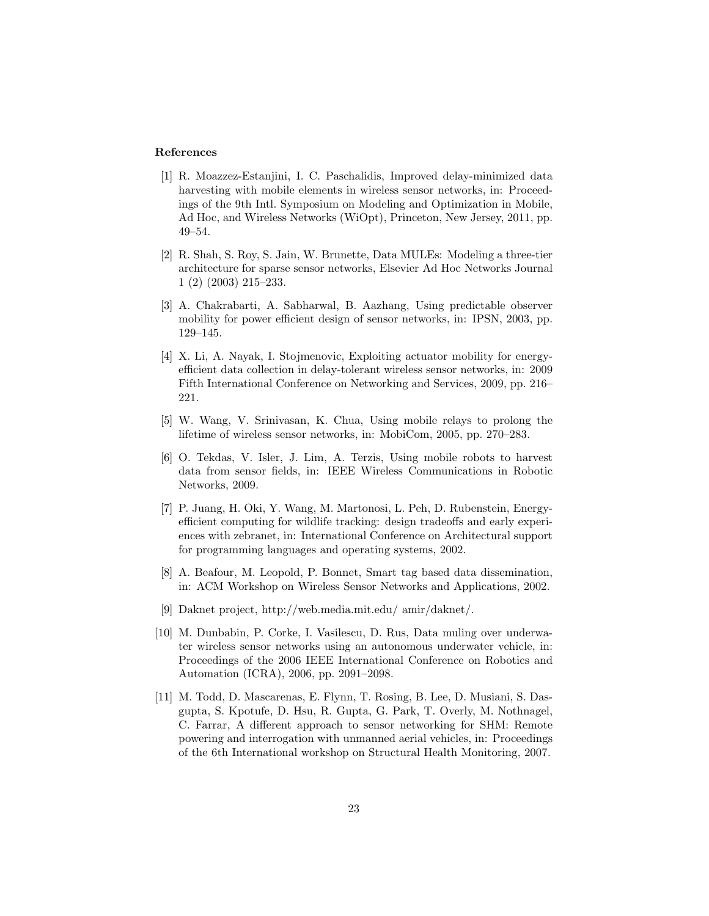### References

- [1] R. Moazzez-Estanjini, I. C. Paschalidis, Improved delay-minimized data harvesting with mobile elements in wireless sensor networks, in: Proceedings of the 9th Intl. Symposium on Modeling and Optimization in Mobile, Ad Hoc, and Wireless Networks (WiOpt), Princeton, New Jersey, 2011, pp. 49–54.
- [2] R. Shah, S. Roy, S. Jain, W. Brunette, Data MULEs: Modeling a three-tier architecture for sparse sensor networks, Elsevier Ad Hoc Networks Journal 1 (2) (2003) 215–233.
- [3] A. Chakrabarti, A. Sabharwal, B. Aazhang, Using predictable observer mobility for power efficient design of sensor networks, in: IPSN, 2003, pp. 129–145.
- [4] X. Li, A. Nayak, I. Stojmenovic, Exploiting actuator mobility for energyefficient data collection in delay-tolerant wireless sensor networks, in: 2009 Fifth International Conference on Networking and Services, 2009, pp. 216– 221.
- [5] W. Wang, V. Srinivasan, K. Chua, Using mobile relays to prolong the lifetime of wireless sensor networks, in: MobiCom, 2005, pp. 270–283.
- [6] O. Tekdas, V. Isler, J. Lim, A. Terzis, Using mobile robots to harvest data from sensor fields, in: IEEE Wireless Communications in Robotic Networks, 2009.
- [7] P. Juang, H. Oki, Y. Wang, M. Martonosi, L. Peh, D. Rubenstein, Energyefficient computing for wildlife tracking: design tradeoffs and early experiences with zebranet, in: International Conference on Architectural support for programming languages and operating systems, 2002.
- [8] A. Beafour, M. Leopold, P. Bonnet, Smart tag based data dissemination, in: ACM Workshop on Wireless Sensor Networks and Applications, 2002.
- [9] Daknet project, http://web.media.mit.edu/ amir/daknet/.
- [10] M. Dunbabin, P. Corke, I. Vasilescu, D. Rus, Data muling over underwater wireless sensor networks using an autonomous underwater vehicle, in: Proceedings of the 2006 IEEE International Conference on Robotics and Automation (ICRA), 2006, pp. 2091–2098.
- [11] M. Todd, D. Mascarenas, E. Flynn, T. Rosing, B. Lee, D. Musiani, S. Dasgupta, S. Kpotufe, D. Hsu, R. Gupta, G. Park, T. Overly, M. Nothnagel, C. Farrar, A different approach to sensor networking for SHM: Remote powering and interrogation with unmanned aerial vehicles, in: Proceedings of the 6th International workshop on Structural Health Monitoring, 2007.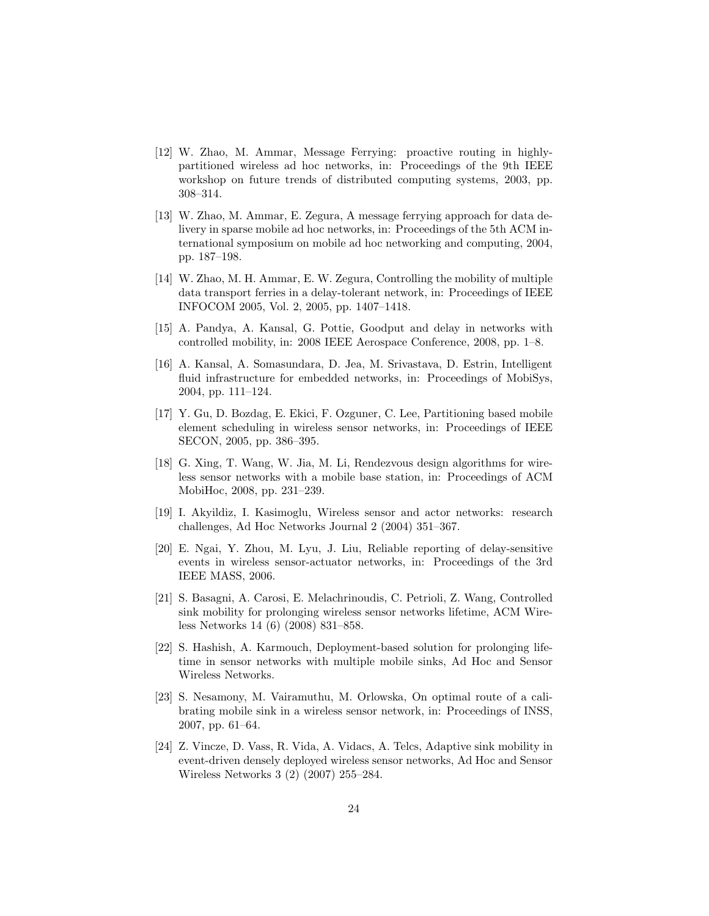- [12] W. Zhao, M. Ammar, Message Ferrying: proactive routing in highlypartitioned wireless ad hoc networks, in: Proceedings of the 9th IEEE workshop on future trends of distributed computing systems, 2003, pp. 308–314.
- [13] W. Zhao, M. Ammar, E. Zegura, A message ferrying approach for data delivery in sparse mobile ad hoc networks, in: Proceedings of the 5th ACM international symposium on mobile ad hoc networking and computing, 2004, pp. 187–198.
- [14] W. Zhao, M. H. Ammar, E. W. Zegura, Controlling the mobility of multiple data transport ferries in a delay-tolerant network, in: Proceedings of IEEE INFOCOM 2005, Vol. 2, 2005, pp. 1407–1418.
- [15] A. Pandya, A. Kansal, G. Pottie, Goodput and delay in networks with controlled mobility, in: 2008 IEEE Aerospace Conference, 2008, pp. 1–8.
- [16] A. Kansal, A. Somasundara, D. Jea, M. Srivastava, D. Estrin, Intelligent fluid infrastructure for embedded networks, in: Proceedings of MobiSys, 2004, pp. 111–124.
- [17] Y. Gu, D. Bozdag, E. Ekici, F. Ozguner, C. Lee, Partitioning based mobile element scheduling in wireless sensor networks, in: Proceedings of IEEE SECON, 2005, pp. 386–395.
- [18] G. Xing, T. Wang, W. Jia, M. Li, Rendezvous design algorithms for wireless sensor networks with a mobile base station, in: Proceedings of ACM MobiHoc, 2008, pp. 231–239.
- [19] I. Akyildiz, I. Kasimoglu, Wireless sensor and actor networks: research challenges, Ad Hoc Networks Journal 2 (2004) 351–367.
- [20] E. Ngai, Y. Zhou, M. Lyu, J. Liu, Reliable reporting of delay-sensitive events in wireless sensor-actuator networks, in: Proceedings of the 3rd IEEE MASS, 2006.
- [21] S. Basagni, A. Carosi, E. Melachrinoudis, C. Petrioli, Z. Wang, Controlled sink mobility for prolonging wireless sensor networks lifetime, ACM Wireless Networks 14 (6) (2008) 831–858.
- [22] S. Hashish, A. Karmouch, Deployment-based solution for prolonging lifetime in sensor networks with multiple mobile sinks, Ad Hoc and Sensor Wireless Networks.
- [23] S. Nesamony, M. Vairamuthu, M. Orlowska, On optimal route of a calibrating mobile sink in a wireless sensor network, in: Proceedings of INSS, 2007, pp. 61–64.
- [24] Z. Vincze, D. Vass, R. Vida, A. Vidacs, A. Telcs, Adaptive sink mobility in event-driven densely deployed wireless sensor networks, Ad Hoc and Sensor Wireless Networks 3 (2) (2007) 255–284.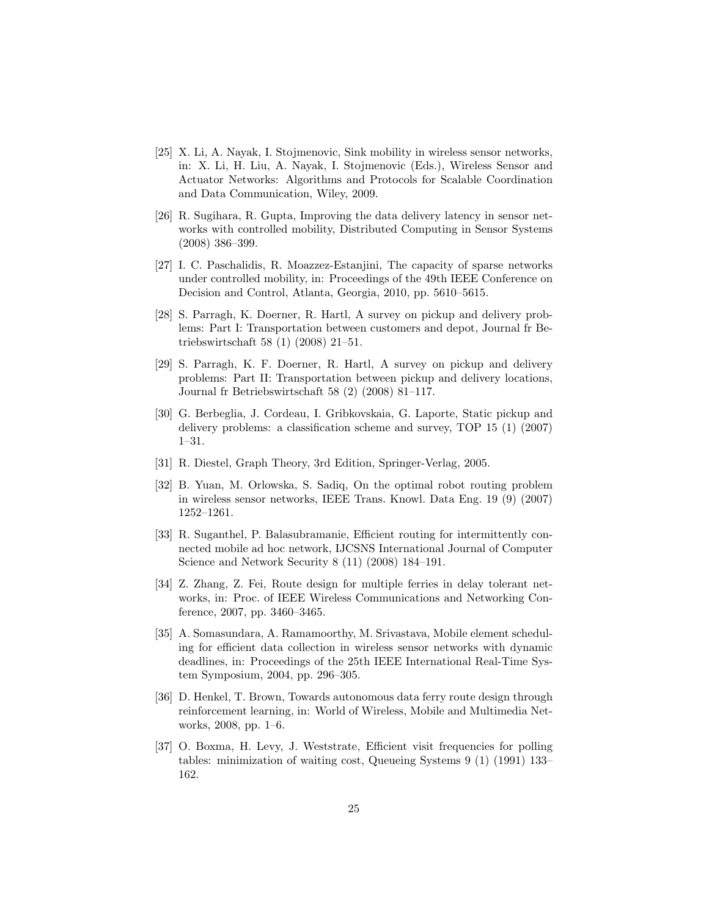- [25] X. Li, A. Nayak, I. Stojmenovic, Sink mobility in wireless sensor networks, in: X. Li, H. Liu, A. Nayak, I. Stojmenovic (Eds.), Wireless Sensor and Actuator Networks: Algorithms and Protocols for Scalable Coordination and Data Communication, Wiley, 2009.
- [26] R. Sugihara, R. Gupta, Improving the data delivery latency in sensor networks with controlled mobility, Distributed Computing in Sensor Systems (2008) 386–399.
- [27] I. C. Paschalidis, R. Moazzez-Estanjini, The capacity of sparse networks under controlled mobility, in: Proceedings of the 49th IEEE Conference on Decision and Control, Atlanta, Georgia, 2010, pp. 5610–5615.
- [28] S. Parragh, K. Doerner, R. Hartl, A survey on pickup and delivery problems: Part I: Transportation between customers and depot, Journal fr Betriebswirtschaft 58 (1) (2008) 21–51.
- [29] S. Parragh, K. F. Doerner, R. Hartl, A survey on pickup and delivery problems: Part II: Transportation between pickup and delivery locations, Journal fr Betriebswirtschaft 58 (2) (2008) 81–117.
- [30] G. Berbeglia, J. Cordeau, I. Gribkovskaia, G. Laporte, Static pickup and delivery problems: a classification scheme and survey, TOP 15 (1) (2007) 1–31.
- [31] R. Diestel, Graph Theory, 3rd Edition, Springer-Verlag, 2005.
- [32] B. Yuan, M. Orlowska, S. Sadiq, On the optimal robot routing problem in wireless sensor networks, IEEE Trans. Knowl. Data Eng. 19 (9) (2007) 1252–1261.
- [33] R. Suganthel, P. Balasubramanie, Efficient routing for intermittently connected mobile ad hoc network, IJCSNS International Journal of Computer Science and Network Security 8 (11) (2008) 184–191.
- [34] Z. Zhang, Z. Fei, Route design for multiple ferries in delay tolerant networks, in: Proc. of IEEE Wireless Communications and Networking Conference, 2007, pp. 3460–3465.
- [35] A. Somasundara, A. Ramamoorthy, M. Srivastava, Mobile element scheduling for efficient data collection in wireless sensor networks with dynamic deadlines, in: Proceedings of the 25th IEEE International Real-Time System Symposium, 2004, pp. 296–305.
- [36] D. Henkel, T. Brown, Towards autonomous data ferry route design through reinforcement learning, in: World of Wireless, Mobile and Multimedia Networks, 2008, pp. 1–6.
- [37] O. Boxma, H. Levy, J. Weststrate, Efficient visit frequencies for polling tables: minimization of waiting cost, Queueing Systems 9 (1) (1991) 133– 162.